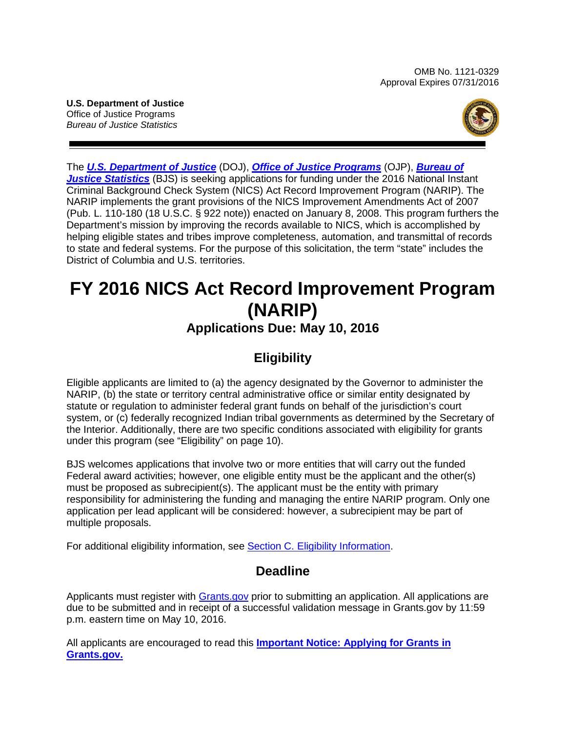OMB No. 1121-0329 Approval Expires 07/31/2016

**U.S. Department of Justice** Office of Justice Programs *Bureau of Justice Statistics*



The *[U.S. Department of Justice](http://www.usdoj.gov/)* (DOJ), *[Office of Justice Programs](http://ojp.gov/)* (OJP), *[Bureau of](http://www.bjs.gov/)*  **[Justice Statistics](http://www.bjs.gov/)** (BJS) is seeking applications for funding under the 2016 National Instant Criminal Background Check System (NICS) Act Record Improvement Program (NARIP). The NARIP implements the grant provisions of the NICS Improvement Amendments Act of 2007 (Pub. L. 110-180 (18 U.S.C. § 922 note)) enacted on January 8, 2008. This program furthers the Department's mission by improving the records available to NICS, which is accomplished by helping eligible states and tribes improve completeness, automation, and transmittal of records to state and federal systems. For the purpose of this solicitation, the term "state" includes the District of Columbia and U.S. territories.

# **FY 2016 NICS Act Record Improvement Program (NARIP)**

# **Applications Due: May 10, 2016**

# **Eligibility**

Eligible applicants are limited to (a) the agency designated by the Governor to administer the NARIP, (b) the state or territory central administrative office or similar entity designated by statute or regulation to administer federal grant funds on behalf of the jurisdiction's court system, or (c) federally recognized Indian tribal governments as determined by the Secretary of the Interior. Additionally, there are two specific conditions associated with eligibility for grants under this program (see "Eligibility" on page 10).

BJS welcomes applications that involve two or more entities that will carry out the funded Federal award activities; however, one eligible entity must be the applicant and the other(s) must be proposed as subrecipient(s). The applicant must be the entity with primary responsibility for administering the funding and managing the entire NARIP program. Only one application per lead applicant will be considered: however, a subrecipient may be part of multiple proposals.

For additional eligibility information, see Section C. [Eligibility Information.](#page-9-0)

# **Deadline**

Applicants must register with **Grants.gov** prior to submitting an application. All applications are due to be submitted and in receipt of a successful validation message in Grants.gov by 11:59 p.m. eastern time on May 10, 2016.

All applicants are encouraged to read this **Important [Notice: Applying for Grants in](http://ojp.gov/funding/Apply/Grants-govInfo.htm)  [Grants.gov.](http://ojp.gov/funding/Apply/Grants-govInfo.htm)**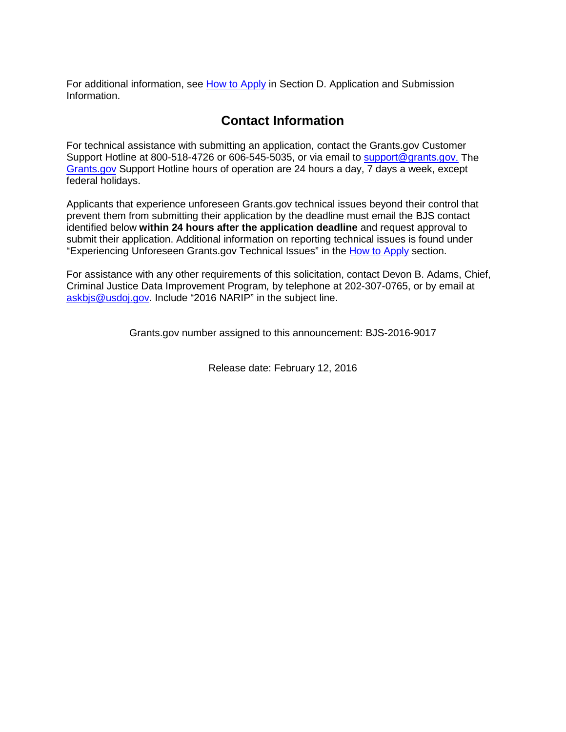For additional information, see [How to](#page-19-0) Apply in Section D. Application and Submission [Information.](#page-10-0)

# **Contact Information**

For technical assistance with submitting an application, contact the Grants.gov Customer Support Hotline at 800-518-4726 or 606-545-5035, or via email to [support@grants.gov.](mailto:support@grants.gov) The [Grants.gov](http://www.grants.gov/applicants/apply_for_grants.jsp) Support Hotline hours of operation are 24 hours a day, 7 days a week, except federal holidays.

Applicants that experience unforeseen Grants.gov technical issues beyond their control that prevent them from submitting their application by the deadline must email the BJS contact identified below **within 24 hours after the application deadline** and request approval to submit their application. Additional information on reporting technical issues is found under "Experiencing Unforeseen Grants.gov Technical Issues" in the [How to Apply](#page-19-0) section.

For assistance with any other requirements of this solicitation, contact Devon B. Adams, Chief, Criminal Justice Data Improvement Program*,* by telephone at 202-307-0765, or by email at [askbjs@usdoj.gov.](mailto:askbjs@usdoj.gov?subject=2016%20NARIP) Include "2016 NARIP" in the subject line.

Grants.gov number assigned to this announcement: BJS-2016-9017

Release date: February 12, 2016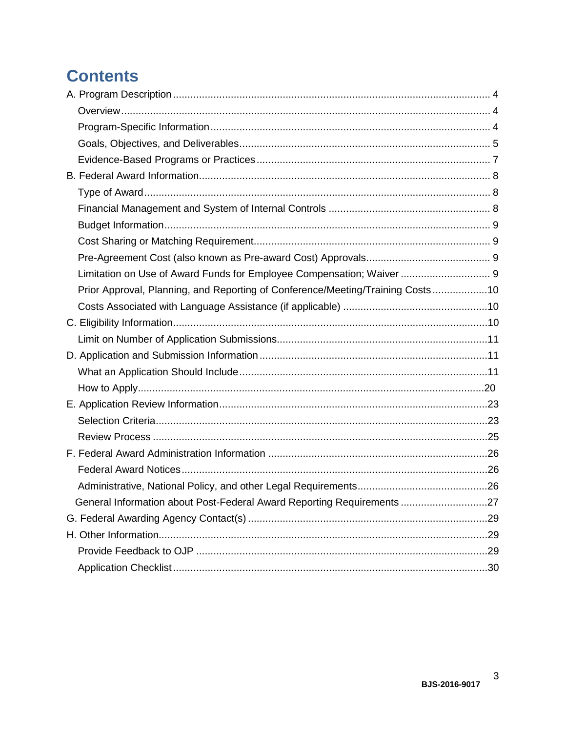# **Contents**

| Limitation on Use of Award Funds for Employee Compensation; Waiver  9          |  |
|--------------------------------------------------------------------------------|--|
| Prior Approval, Planning, and Reporting of Conference/Meeting/Training Costs10 |  |
|                                                                                |  |
|                                                                                |  |
|                                                                                |  |
|                                                                                |  |
|                                                                                |  |
|                                                                                |  |
|                                                                                |  |
|                                                                                |  |
|                                                                                |  |
|                                                                                |  |
|                                                                                |  |
|                                                                                |  |
| General Information about Post-Federal Award Reporting Requirements 27         |  |
|                                                                                |  |
|                                                                                |  |
|                                                                                |  |
|                                                                                |  |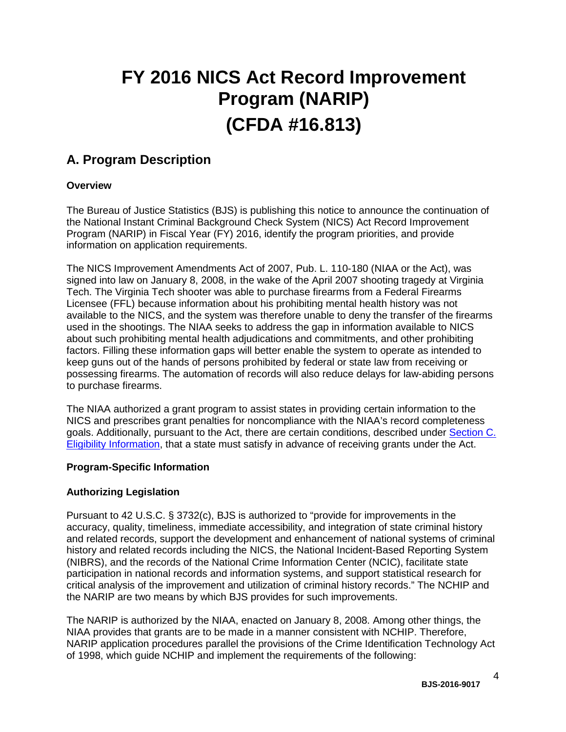# **FY 2016 NICS Act Record Improvement Program (NARIP) (CFDA #16.813)**

# <span id="page-3-0"></span>**A. Program Description**

# <span id="page-3-1"></span>**Overview**

The Bureau of Justice Statistics (BJS) is publishing this notice to announce the continuation of the National Instant Criminal Background Check System (NICS) Act Record Improvement Program (NARIP) in Fiscal Year (FY) 2016, identify the program priorities, and provide information on application requirements.

The NICS Improvement Amendments Act of 2007, Pub. L. 110-180 (NIAA or the Act), was signed into law on January 8, 2008, in the wake of the April 2007 shooting tragedy at Virginia Tech. The Virginia Tech shooter was able to purchase firearms from a Federal Firearms Licensee (FFL) because information about his prohibiting mental health history was not available to the NICS, and the system was therefore unable to deny the transfer of the firearms used in the shootings. The NIAA seeks to address the gap in information available to NICS about such prohibiting mental health adjudications and commitments, and other prohibiting factors. Filling these information gaps will better enable the system to operate as intended to keep guns out of the hands of persons prohibited by federal or state law from receiving or possessing firearms. The automation of records will also reduce delays for law-abiding persons to purchase firearms.

The NIAA authorized a grant program to assist states in providing certain information to the NICS and prescribes grant penalties for noncompliance with the NIAA's record completeness goals. Additionally, pursuant to the Act, there are certain conditions, described under [Section C.](#page-9-0) [Eligibility Information,](#page-9-0) that a state must satisfy in advance of receiving grants under the Act.

# <span id="page-3-2"></span>**Program-Specific Information**

# **Authorizing Legislation**

Pursuant to 42 U.S.C. § 3732(c), BJS is authorized to "provide for improvements in the accuracy, quality, timeliness, immediate accessibility, and integration of state criminal history and related records, support the development and enhancement of national systems of criminal history and related records including the NICS, the National Incident-Based Reporting System (NIBRS), and the records of the National Crime Information Center (NCIC), facilitate state participation in national records and information systems, and support statistical research for critical analysis of the improvement and utilization of criminal history records." The NCHIP and the NARIP are two means by which BJS provides for such improvements.

The NARIP is authorized by the NIAA, enacted on January 8, 2008. Among other things, the NIAA provides that grants are to be made in a manner consistent with NCHIP. Therefore, NARIP application procedures parallel the provisions of the Crime Identification Technology Act of 1998, which guide NCHIP and implement the requirements of the following:

4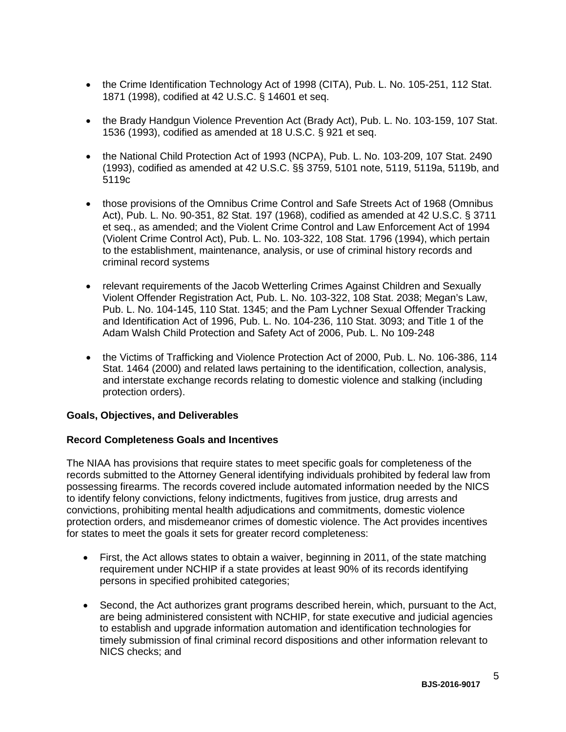- the Crime Identification Technology Act of 1998 (CITA), Pub. L. No. 105-251, 112 Stat. 1871 (1998), codified at 42 U.S.C. § 14601 et seq.
- the Brady Handgun Violence Prevention Act (Brady Act), Pub. L. No. 103-159, 107 Stat. 1536 (1993), codified as amended at 18 U.S.C. § 921 et seq.
- the National Child Protection Act of 1993 (NCPA), Pub. L. No. 103-209, 107 Stat. 2490 (1993), codified as amended at 42 U.S.C. §§ 3759, 5101 note, 5119, 5119a, 5119b, and 5119c
- those provisions of the Omnibus Crime Control and Safe Streets Act of 1968 (Omnibus Act), Pub. L. No. 90-351, 82 Stat. 197 (1968), codified as amended at 42 U.S.C. § 3711 et seq., as amended; and the Violent Crime Control and Law Enforcement Act of 1994 (Violent Crime Control Act), Pub. L. No. 103-322, 108 Stat. 1796 (1994), which pertain to the establishment, maintenance, analysis, or use of criminal history records and criminal record systems
- relevant requirements of the Jacob Wetterling Crimes Against Children and Sexually Violent Offender Registration Act, Pub. L. No. 103-322, 108 Stat. 2038; Megan's Law, Pub. L. No. 104-145, 110 Stat. 1345; and the Pam Lychner Sexual Offender Tracking and Identification Act of 1996, Pub. L. No. 104-236, 110 Stat. 3093; and Title 1 of the Adam Walsh Child Protection and Safety Act of 2006, Pub. L. No 109-248
- the Victims of Trafficking and Violence Protection Act of 2000, Pub. L. No. 106-386, 114 Stat. 1464 (2000) and related laws pertaining to the identification, collection, analysis, and interstate exchange records relating to domestic violence and stalking (including protection orders).

## <span id="page-4-0"></span>**Goals, Objectives, and Deliverables**

## **Record Completeness Goals and Incentives**

The NIAA has provisions that require states to meet specific goals for completeness of the records submitted to the Attorney General identifying individuals prohibited by federal law from possessing firearms. The records covered include automated information needed by the NICS to identify felony convictions, felony indictments, fugitives from justice, drug arrests and convictions, prohibiting mental health adjudications and commitments, domestic violence protection orders, and misdemeanor crimes of domestic violence. The Act provides incentives for states to meet the goals it sets for greater record completeness:

- First, the Act allows states to obtain a waiver, beginning in 2011, of the state matching requirement under NCHIP if a state provides at least 90% of its records identifying persons in specified prohibited categories;
- Second, the Act authorizes grant programs described herein, which, pursuant to the Act, are being administered consistent with NCHIP, for state executive and judicial agencies to establish and upgrade information automation and identification technologies for timely submission of final criminal record dispositions and other information relevant to NICS checks; and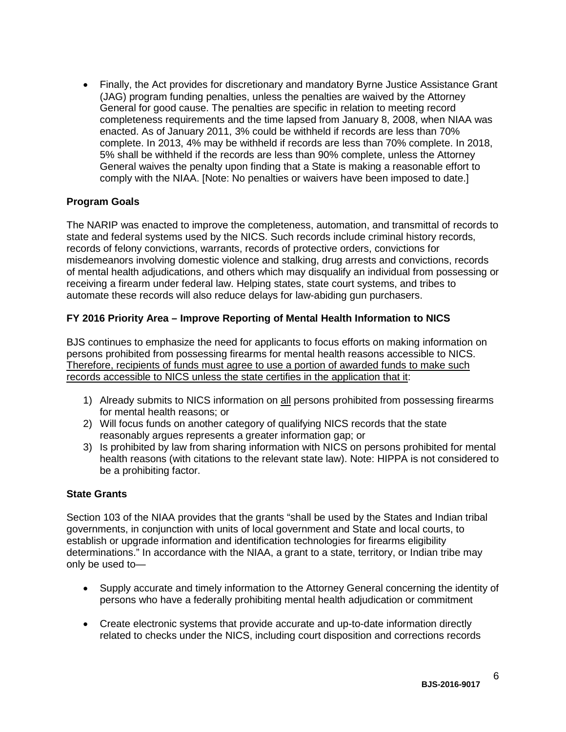• Finally, the Act provides for discretionary and mandatory Byrne Justice Assistance Grant (JAG) program funding penalties, unless the penalties are waived by the Attorney General for good cause. The penalties are specific in relation to meeting record completeness requirements and the time lapsed from January 8, 2008, when NIAA was enacted. As of January 2011, 3% could be withheld if records are less than 70% complete. In 2013, 4% may be withheld if records are less than 70% complete. In 2018, 5% shall be withheld if the records are less than 90% complete, unless the Attorney General waives the penalty upon finding that a State is making a reasonable effort to comply with the NIAA. [Note: No penalties or waivers have been imposed to date.]

# **Program Goals**

The NARIP was enacted to improve the completeness, automation, and transmittal of records to state and federal systems used by the NICS. Such records include criminal history records, records of felony convictions, warrants, records of protective orders, convictions for misdemeanors involving domestic violence and stalking, drug arrests and convictions, records of mental health adjudications, and others which may disqualify an individual from possessing or receiving a firearm under federal law. Helping states, state court systems, and tribes to automate these records will also reduce delays for law-abiding gun purchasers.

# **FY 2016 Priority Area – Improve Reporting of Mental Health Information to NICS**

BJS continues to emphasize the need for applicants to focus efforts on making information on persons prohibited from possessing firearms for mental health reasons accessible to NICS. Therefore, recipients of funds must agree to use a portion of awarded funds to make such records accessible to NICS unless the state certifies in the application that it:

- 1) Already submits to NICS information on all persons prohibited from possessing firearms for mental health reasons; or
- 2) Will focus funds on another category of qualifying NICS records that the state reasonably argues represents a greater information gap; or
- 3) Is prohibited by law from sharing information with NICS on persons prohibited for mental health reasons (with citations to the relevant state law). Note: HIPPA is not considered to be a prohibiting factor.

## **State Grants**

Section 103 of the NIAA provides that the grants "shall be used by the States and Indian tribal governments, in conjunction with units of local government and State and local courts, to establish or upgrade information and identification technologies for firearms eligibility determinations." In accordance with the NIAA, a grant to a state, territory, or Indian tribe may only be used to—

- Supply accurate and timely information to the Attorney General concerning the identity of persons who have a federally prohibiting mental health adjudication or commitment
- Create electronic systems that provide accurate and up-to-date information directly related to checks under the NICS, including court disposition and corrections records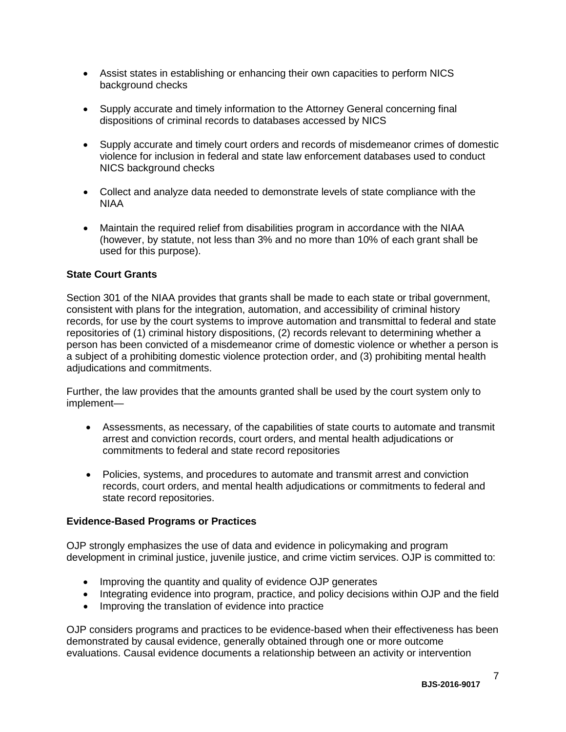- Assist states in establishing or enhancing their own capacities to perform NICS background checks
- Supply accurate and timely information to the Attorney General concerning final dispositions of criminal records to databases accessed by NICS
- Supply accurate and timely court orders and records of misdemeanor crimes of domestic violence for inclusion in federal and state law enforcement databases used to conduct NICS background checks
- Collect and analyze data needed to demonstrate levels of state compliance with the NIAA
- Maintain the required relief from disabilities program in accordance with the NIAA (however, by statute, not less than 3% and no more than 10% of each grant shall be used for this purpose).

# **State Court Grants**

Section 301 of the NIAA provides that grants shall be made to each state or tribal government, consistent with plans for the integration, automation, and accessibility of criminal history records, for use by the court systems to improve automation and transmittal to federal and state repositories of (1) criminal history dispositions, (2) records relevant to determining whether a person has been convicted of a misdemeanor crime of domestic violence or whether a person is a subject of a prohibiting domestic violence protection order, and (3) prohibiting mental health adjudications and commitments.

Further, the law provides that the amounts granted shall be used by the court system only to implement—

- Assessments, as necessary, of the capabilities of state courts to automate and transmit arrest and conviction records, court orders, and mental health adjudications or commitments to federal and state record repositories
- Policies, systems, and procedures to automate and transmit arrest and conviction records, court orders, and mental health adjudications or commitments to federal and state record repositories.

## <span id="page-6-0"></span>**Evidence-Based Programs or Practices**

OJP strongly emphasizes the use of data and evidence in policymaking and program development in criminal justice, juvenile justice, and crime victim services. OJP is committed to:

- Improving the quantity and quality of evidence OJP generates
- Integrating evidence into program, practice, and policy decisions within OJP and the field
- Improving the translation of evidence into practice

OJP considers programs and practices to be evidence-based when their effectiveness has been demonstrated by causal evidence, generally obtained through one or more outcome evaluations. Causal evidence documents a relationship between an activity or intervention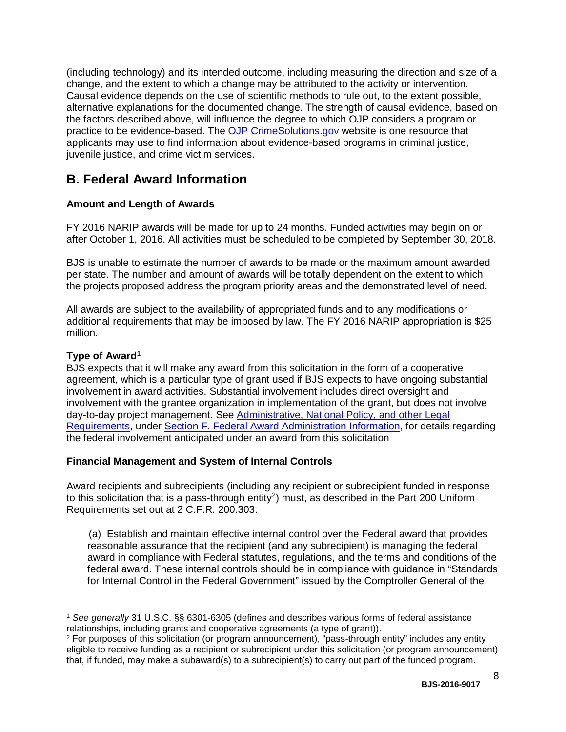(including technology) and its intended outcome, including measuring the direction and size of a change, and the extent to which a change may be attributed to the activity or intervention. Causal evidence depends on the use of scientific methods to rule out, to the extent possible, alternative explanations for the documented change. The strength of causal evidence, based on the factors described above, will influence the degree to which OJP considers a program or practice to be evidence-based. The [OJP CrimeSolutions.gov](http://www.crimesolutions.gov/) website is one resource that applicants may use to find information about evidence-based programs in criminal justice, juvenile justice, and crime victim services.

# <span id="page-7-0"></span>**B. Federal Award Information**

# **Amount and Length of Awards**

FY 2016 NARIP awards will be made for up to 24 months. Funded activities may begin on or after October 1, 2016. All activities must be scheduled to be completed by September 30, 2018.

BJS is unable to estimate the number of awards to be made or the maximum amount awarded per state. The number and amount of awards will be totally dependent on the extent to which the projects proposed address the program priority areas and the demonstrated level of need.

All awards are subject to the availability of appropriated funds and to any modifications or additional requirements that may be imposed by law. The FY 2016 NARIP appropriation is \$25 million.

# <span id="page-7-1"></span>**Type of Awar[d1](#page-7-3)**

BJS expects that it will make any award from this solicitation in the form of a cooperative agreement, which is a particular type of grant used if BJS expects to have ongoing substantial involvement in award activities. Substantial involvement includes direct oversight and involvement with the grantee organization in implementation of the grant, but does not involve day-to-day project management. See [Administrative, National Policy, and other Legal](#page-25-2)  [Requirements,](#page-25-2) under [Section F. Federal Award Administration Information,](#page-25-3) for details regarding the federal involvement anticipated under an award from this solicitation

# <span id="page-7-2"></span>**Financial Management and System of Internal Controls**

Award recipients and subrecipients (including any recipient or subrecipient funded in response to this solicitation that is a pass-through entity<sup>2</sup>) must, as described in the Part 200 Uniform Requirements set out at 2 C.F.R. 200.303:

(a) Establish and maintain effective internal control over the Federal award that provides reasonable assurance that the recipient (and any subrecipient) is managing the federal award in compliance with Federal statutes, regulations, and the terms and conditions of the federal award. These internal controls should be in compliance with guidance in "Standards for Internal Control in the Federal Government" issued by the Comptroller General of the

8

<span id="page-7-3"></span> $\overline{a}$ <sup>1</sup> *See generally* 31 U.S.C. §§ 6301-6305 (defines and describes various forms of federal assistance relationships, including grants and cooperative agreements (a type of grant)).

<span id="page-7-4"></span><sup>2</sup> For purposes of this solicitation (or program announcement), "pass-through entity" includes any entity eligible to receive funding as a recipient or subrecipient under this solicitation (or program announcement) that, if funded, may make a subaward(s) to a subrecipient(s) to carry out part of the funded program.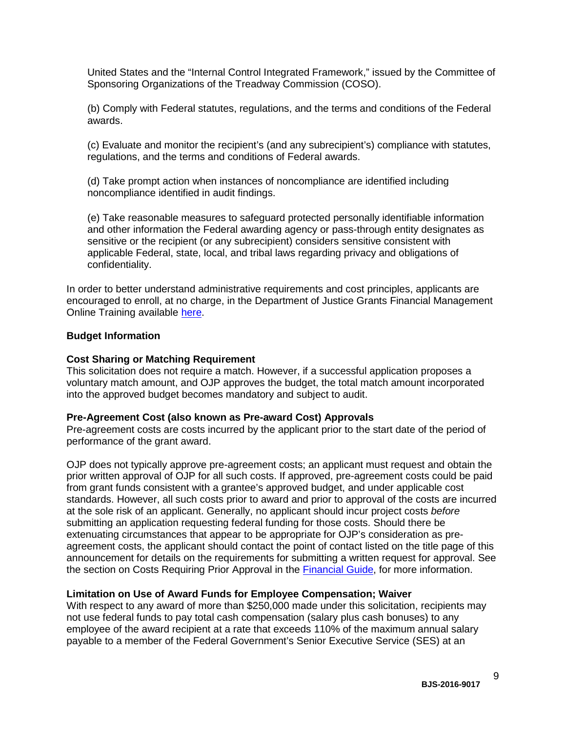United States and the "Internal Control Integrated Framework," issued by the Committee of Sponsoring Organizations of the Treadway Commission (COSO).

(b) Comply with Federal statutes, regulations, and the terms and conditions of the Federal awards.

(c) Evaluate and monitor the recipient's (and any subrecipient's) compliance with statutes, regulations, and the terms and conditions of Federal awards.

(d) Take prompt action when instances of noncompliance are identified including noncompliance identified in audit findings.

(e) Take reasonable measures to safeguard protected personally identifiable information and other information the Federal awarding agency or pass-through entity designates as sensitive or the recipient (or any subrecipient) considers sensitive consistent with applicable Federal, state, local, and tribal laws regarding privacy and obligations of confidentiality.

In order to better understand administrative requirements and cost principles, applicants are encouraged to enroll, at no charge, in the Department of Justice Grants Financial Management Online Training available [here.](http://gfm.webfirst.com/)

#### <span id="page-8-0"></span>**Budget Information**

#### <span id="page-8-1"></span>**Cost Sharing or Matching Requirement**

This solicitation does not require a match. However, if a successful application proposes a voluntary match amount, and OJP approves the budget, the total match amount incorporated into the approved budget becomes mandatory and subject to audit.

#### <span id="page-8-2"></span>**Pre-Agreement Cost (also known as Pre-award Cost) Approvals**

Pre-agreement costs are costs incurred by the applicant prior to the start date of the period of performance of the grant award.

OJP does not typically approve pre-agreement costs; an applicant must request and obtain the prior written approval of OJP for all such costs. If approved, pre-agreement costs could be paid from grant funds consistent with a grantee's approved budget, and under applicable cost standards. However, all such costs prior to award and prior to approval of the costs are incurred at the sole risk of an applicant. Generally, no applicant should incur project costs *before* submitting an application requesting federal funding for those costs. Should there be extenuating circumstances that appear to be appropriate for OJP's consideration as preagreement costs, the applicant should contact the point of contact listed on the title page of this announcement for details on the requirements for submitting a written request for approval. See the section on Costs Requiring Prior Approval in the [Financial Guide,](http://ojp.gov/financialguide/DOJ/index.htm) for more information.

## <span id="page-8-3"></span>**Limitation on Use of Award Funds for Employee Compensation; Waiver**

With respect to any award of more than \$250,000 made under this solicitation, recipients may not use federal funds to pay total cash compensation (salary plus cash bonuses) to any employee of the award recipient at a rate that exceeds 110% of the maximum annual salary payable to a member of the Federal Government's Senior Executive Service (SES) at an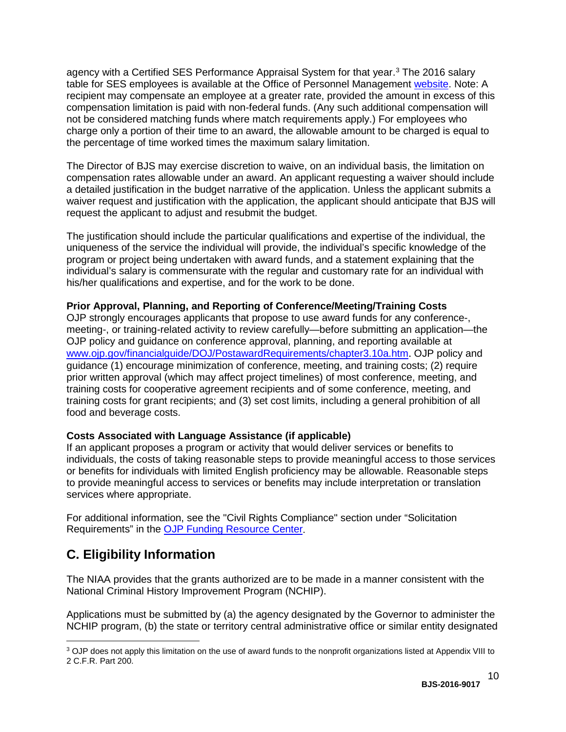agency with a Certified SES Performance Appraisal System for that year. [3](#page-9-3) The 2016 salary table for SES employees is available at the Office of Personnel Management [website.](http://www.opm.gov/policy-data-oversight/pay-leave/salaries-wages/salary-tables/16Tables/exec/html/ES.aspx) Note: A recipient may compensate an employee at a greater rate, provided the amount in excess of this compensation limitation is paid with non-federal funds. (Any such additional compensation will not be considered matching funds where match requirements apply.) For employees who charge only a portion of their time to an award, the allowable amount to be charged is equal to the percentage of time worked times the maximum salary limitation.

The Director of BJS may exercise discretion to waive, on an individual basis, the limitation on compensation rates allowable under an award. An applicant requesting a waiver should include a detailed justification in the budget narrative of the application. Unless the applicant submits a waiver request and justification with the application, the applicant should anticipate that BJS will request the applicant to adjust and resubmit the budget.

The justification should include the particular qualifications and expertise of the individual, the uniqueness of the service the individual will provide, the individual's specific knowledge of the program or project being undertaken with award funds, and a statement explaining that the individual's salary is commensurate with the regular and customary rate for an individual with his/her qualifications and expertise, and for the work to be done.

# <span id="page-9-1"></span>**Prior Approval, Planning, and Reporting of Conference/Meeting/Training Costs**

OJP strongly encourages applicants that propose to use award funds for any conference-, meeting-, or training-related activity to review carefully—before submitting an application—the OJP policy and guidance on conference approval, planning, and reporting available at [www.ojp.gov/financialguide/DOJ/PostawardRequirements/chapter3.10a.htm](http://www.ojp.gov/financialguide/DOJ/PostawardRequirements/chapter3.10a.htm). OJP policy and guidance (1) encourage minimization of conference, meeting, and training costs; (2) require prior written approval (which may affect project timelines) of most conference, meeting, and training costs for cooperative agreement recipients and of some conference, meeting, and training costs for grant recipients; and (3) set cost limits, including a general prohibition of all food and beverage costs.

## <span id="page-9-2"></span>**Costs Associated with Language Assistance (if applicable)**

If an applicant proposes a program or activity that would deliver services or benefits to individuals, the costs of taking reasonable steps to provide meaningful access to those services or benefits for individuals with limited English proficiency may be allowable. Reasonable steps to provide meaningful access to services or benefits may include interpretation or translation services where appropriate.

For additional information, see the "Civil Rights Compliance" section under "Solicitation Requirements" in the [OJP Funding Resource Center.](http://ojp.gov/funding/index.htm)

# <span id="page-9-0"></span>**C. Eligibility Information**

 $\overline{a}$ 

The NIAA provides that the grants authorized are to be made in a manner consistent with the National Criminal History Improvement Program (NCHIP).

Applications must be submitted by (a) the agency designated by the Governor to administer the NCHIP program, (b) the state or territory central administrative office or similar entity designated

<span id="page-9-3"></span><sup>3</sup> OJP does not apply this limitation on the use of award funds to the nonprofit organizations listed at Appendix VIII to 2 C.F.R. Part 200.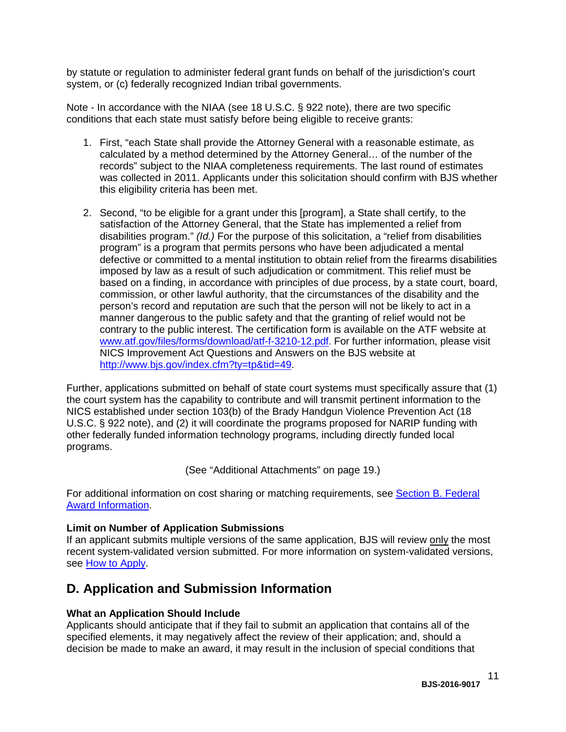by statute or regulation to administer federal grant funds on behalf of the jurisdiction's court system, or (c) federally recognized Indian tribal governments.

Note - In accordance with the NIAA (see 18 U.S.C. § 922 note), there are two specific conditions that each state must satisfy before being eligible to receive grants:

- 1. First, "each State shall provide the Attorney General with a reasonable estimate, as calculated by a method determined by the Attorney General… of the number of the records" subject to the NIAA completeness requirements. The last round of estimates was collected in 2011. Applicants under this solicitation should confirm with BJS whether this eligibility criteria has been met.
- 2. Second, "to be eligible for a grant under this [program], a State shall certify, to the satisfaction of the Attorney General, that the State has implemented a relief from disabilities program." *(Id.)* For the purpose of this solicitation, a "relief from disabilities program" is a program that permits persons who have been adjudicated a mental defective or committed to a mental institution to obtain relief from the firearms disabilities imposed by law as a result of such adjudication or commitment. This relief must be based on a finding, in accordance with principles of due process, by a state court, board, commission, or other lawful authority, that the circumstances of the disability and the person's record and reputation are such that the person will not be likely to act in a manner dangerous to the public safety and that the granting of relief would not be contrary to the public interest. The certification form is available on the ATF website at [www.atf.gov/files/forms/download/atf-f-3210-12.pdf.](http://www.atf.gov/files/forms/download/atf-f-3210-12.pdf) For further information, please visit NICS Improvement Act Questions and Answers on the BJS website at [http://www.bjs.gov/index.cfm?ty=tp&tid=49.](http://www.bjs.gov/index.cfm?ty=tp&tid=49)

Further, applications submitted on behalf of state court systems must specifically assure that (1) the court system has the capability to contribute and will transmit pertinent information to the NICS established under section 103(b) of the Brady Handgun Violence Prevention Act (18 U.S.C. § 922 note), and (2) it will coordinate the programs proposed for NARIP funding with other federally funded information technology programs, including directly funded local programs.

(See "Additional Attachments" on page 19.)

For additional information on cost sharing or matching requirements, see [Section B.](#page-7-0) Federal [Award Information.](#page-7-0)

## <span id="page-10-1"></span>**Limit on Number of Application Submissions**

If an applicant submits multiple versions of the same application, BJS will review only the most recent system-validated version submitted. For more information on system-validated versions, see [How to Apply.](#page-19-0)

# <span id="page-10-3"></span><span id="page-10-0"></span>**D. Application and Submission Information**

## <span id="page-10-2"></span>**What an Application Should Include**

Applicants should anticipate that if they fail to submit an application that contains all of the specified elements, it may negatively affect the review of their application; and, should a decision be made to make an award, it may result in the inclusion of special conditions that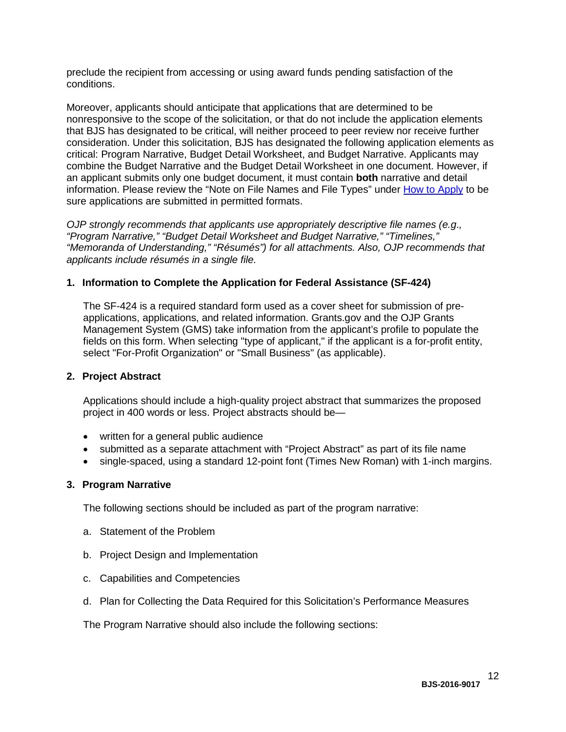preclude the recipient from accessing or using award funds pending satisfaction of the conditions.

Moreover, applicants should anticipate that applications that are determined to be nonresponsive to the scope of the solicitation, or that do not include the application elements that BJS has designated to be critical, will neither proceed to peer review nor receive further consideration. Under this solicitation, BJS has designated the following application elements as critical: Program Narrative, Budget Detail Worksheet, and Budget Narrative. Applicants may combine the Budget Narrative and the Budget Detail Worksheet in one document. However, if an applicant submits only one budget document, it must contain **both** narrative and detail information. Please review the "Note on File Names and File Types" under [How to Apply](#page-19-0) to be sure applications are submitted in permitted formats.

*OJP strongly recommends that applicants use appropriately descriptive file names (e.g*.*, "Program Narrative," "Budget Detail Worksheet and Budget Narrative," "Timelines," "Memoranda of Understanding," "Résumés") for all attachments. Also, OJP recommends that applicants include résumés in a single file.*

## **1. Information to Complete the Application for Federal Assistance (SF-424)**

The SF-424 is a required standard form used as a cover sheet for submission of preapplications, applications, and related information. Grants.gov and the OJP Grants Management System (GMS) take information from the applicant's profile to populate the fields on this form. When selecting "type of applicant," if the applicant is a for-profit entity, select "For-Profit Organization" or "Small Business" (as applicable).

## **2. Project Abstract**

Applications should include a high-quality project abstract that summarizes the proposed project in 400 words or less. Project abstracts should be—

- written for a general public audience
- submitted as a separate attachment with "Project Abstract" as part of its file name
- single-spaced, using a standard 12-point font (Times New Roman) with 1-inch margins.

## **3. Program Narrative**

The following sections should be included as part of the program narrative:

- a. Statement of the Problem
- b. Project Design and Implementation
- c. Capabilities and Competencies
- d. Plan for Collecting the Data Required for this Solicitation's Performance Measures

The Program Narrative should also include the following sections: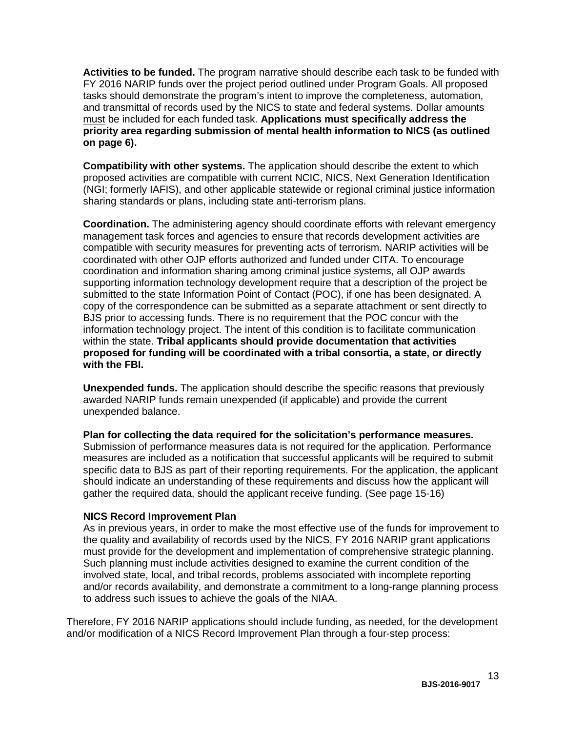**Activities to be funded.** The program narrative should describe each task to be funded with FY 2016 NARIP funds over the project period outlined under Program Goals. All proposed tasks should demonstrate the program's intent to improve the completeness, automation, and transmittal of records used by the NICS to state and federal systems. Dollar amounts must be included for each funded task. **Applications must specifically address the priority area regarding submission of mental health information to NICS (as outlined on page 6).**

**Compatibility with other systems.** The application should describe the extent to which proposed activities are compatible with current NCIC, NICS, Next Generation Identification (NGI; formerly IAFIS), and other applicable statewide or regional criminal justice information sharing standards or plans, including state anti-terrorism plans.

**Coordination.** The administering agency should coordinate efforts with relevant emergency management task forces and agencies to ensure that records development activities are compatible with security measures for preventing acts of terrorism. NARIP activities will be coordinated with other OJP efforts authorized and funded under CITA. To encourage coordination and information sharing among criminal justice systems, all OJP awards supporting information technology development require that a description of the project be submitted to the state Information Point of Contact (POC), if one has been designated. A copy of the correspondence can be submitted as a separate attachment or sent directly to BJS prior to accessing funds. There is no requirement that the POC concur with the information technology project. The intent of this condition is to facilitate communication within the state. **Tribal applicants should provide documentation that activities proposed for funding will be coordinated with a tribal consortia, a state, or directly with the FBI.**

**Unexpended funds.** The application should describe the specific reasons that previously awarded NARIP funds remain unexpended (if applicable) and provide the current unexpended balance.

**Plan for collecting the data required for the solicitation's performance measures.** Submission of performance measures data is not required for the application. Performance measures are included as a notification that successful applicants will be required to submit specific data to BJS as part of their reporting requirements. For the application, the applicant should indicate an understanding of these requirements and discuss how the applicant will gather the required data, should the applicant receive funding. (See page 15-16)

# **NICS Record Improvement Plan**

As in previous years, in order to make the most effective use of the funds for improvement to the quality and availability of records used by the NICS, FY 2016 NARIP grant applications must provide for the development and implementation of comprehensive strategic planning. Such planning must include activities designed to examine the current condition of the involved state, local, and tribal records, problems associated with incomplete reporting and/or records availability, and demonstrate a commitment to a long-range planning process to address such issues to achieve the goals of the NIAA.

Therefore, FY 2016 NARIP applications should include funding, as needed, for the development and/or modification of a NICS Record Improvement Plan through a four-step process: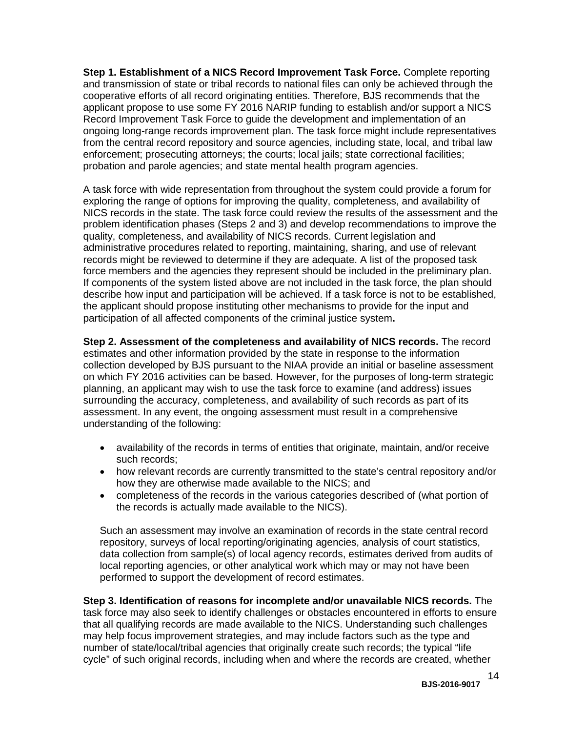**Step 1. Establishment of a NICS Record Improvement Task Force.** Complete reporting and transmission of state or tribal records to national files can only be achieved through the cooperative efforts of all record originating entities. Therefore, BJS recommends that the applicant propose to use some FY 2016 NARIP funding to establish and/or support a NICS Record Improvement Task Force to guide the development and implementation of an ongoing long-range records improvement plan. The task force might include representatives from the central record repository and source agencies, including state, local, and tribal law enforcement; prosecuting attorneys; the courts; local jails; state correctional facilities; probation and parole agencies; and state mental health program agencies.

A task force with wide representation from throughout the system could provide a forum for exploring the range of options for improving the quality, completeness, and availability of NICS records in the state. The task force could review the results of the assessment and the problem identification phases (Steps 2 and 3) and develop recommendations to improve the quality, completeness, and availability of NICS records. Current legislation and administrative procedures related to reporting, maintaining, sharing, and use of relevant records might be reviewed to determine if they are adequate. A list of the proposed task force members and the agencies they represent should be included in the preliminary plan. If components of the system listed above are not included in the task force, the plan should describe how input and participation will be achieved. If a task force is not to be established, the applicant should propose instituting other mechanisms to provide for the input and participation of all affected components of the criminal justice system**.**

**Step 2. Assessment of the completeness and availability of NICS records.** The record estimates and other information provided by the state in response to the information collection developed by BJS pursuant to the NIAA provide an initial or baseline assessment on which FY 2016 activities can be based. However, for the purposes of long-term strategic planning, an applicant may wish to use the task force to examine (and address) issues surrounding the accuracy, completeness, and availability of such records as part of its assessment. In any event, the ongoing assessment must result in a comprehensive understanding of the following:

- availability of the records in terms of entities that originate, maintain, and/or receive such records;
- how relevant records are currently transmitted to the state's central repository and/or how they are otherwise made available to the NICS; and
- completeness of the records in the various categories described of (what portion of the records is actually made available to the NICS).

Such an assessment may involve an examination of records in the state central record repository, surveys of local reporting/originating agencies, analysis of court statistics, data collection from sample(s) of local agency records, estimates derived from audits of local reporting agencies, or other analytical work which may or may not have been performed to support the development of record estimates.

**Step 3. Identification of reasons for incomplete and/or unavailable NICS records.** The task force may also seek to identify challenges or obstacles encountered in efforts to ensure that all qualifying records are made available to the NICS. Understanding such challenges may help focus improvement strategies, and may include factors such as the type and number of state/local/tribal agencies that originally create such records; the typical "life cycle" of such original records, including when and where the records are created, whether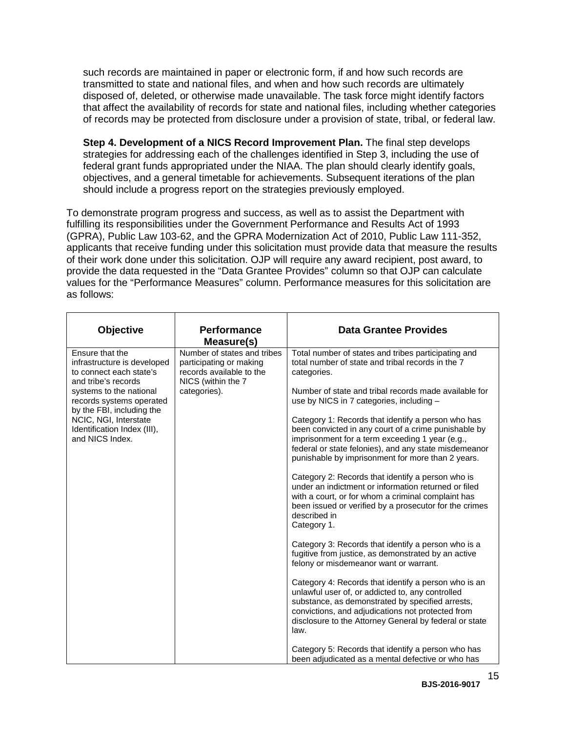such records are maintained in paper or electronic form, if and how such records are transmitted to state and national files, and when and how such records are ultimately disposed of, deleted, or otherwise made unavailable. The task force might identify factors that affect the availability of records for state and national files, including whether categories of records may be protected from disclosure under a provision of state, tribal, or federal law.

**Step 4. Development of a NICS Record Improvement Plan.** The final step develops strategies for addressing each of the challenges identified in Step 3, including the use of federal grant funds appropriated under the NIAA. The plan should clearly identify goals, objectives, and a general timetable for achievements. Subsequent iterations of the plan should include a progress report on the strategies previously employed.

To demonstrate program progress and success, as well as to assist the Department with fulfilling its responsibilities under the Government Performance and Results Act of 1993 (GPRA), Public Law 103-62, and the GPRA Modernization Act of 2010, Public Law 111-352, applicants that receive funding under this solicitation must provide data that measure the results of their work done under this solicitation. OJP will require any award recipient, post award, to provide the data requested in the "Data Grantee Provides" column so that OJP can calculate values for the "Performance Measures" column. Performance measures for this solicitation are as follows:

| <b>Objective</b>                                                                                 | <b>Performance</b><br>Measure(s)                                                                         | <b>Data Grantee Provides</b>                                                                                                                                                                                                                                                        |
|--------------------------------------------------------------------------------------------------|----------------------------------------------------------------------------------------------------------|-------------------------------------------------------------------------------------------------------------------------------------------------------------------------------------------------------------------------------------------------------------------------------------|
| Ensure that the<br>infrastructure is developed<br>to connect each state's<br>and tribe's records | Number of states and tribes<br>participating or making<br>records available to the<br>NICS (within the 7 | Total number of states and tribes participating and<br>total number of state and tribal records in the 7<br>categories.                                                                                                                                                             |
| systems to the national<br>records systems operated<br>by the FBI, including the                 | categories).                                                                                             | Number of state and tribal records made available for<br>use by NICS in 7 categories, including -                                                                                                                                                                                   |
| NCIC, NGI, Interstate<br>Identification Index (III),<br>and NICS Index.                          |                                                                                                          | Category 1: Records that identify a person who has<br>been convicted in any court of a crime punishable by<br>imprisonment for a term exceeding 1 year (e.g.,<br>federal or state felonies), and any state misdemeanor<br>punishable by imprisonment for more than 2 years.         |
|                                                                                                  |                                                                                                          | Category 2: Records that identify a person who is<br>under an indictment or information returned or filed<br>with a court, or for whom a criminal complaint has<br>been issued or verified by a prosecutor for the crimes<br>described in<br>Category 1.                            |
|                                                                                                  |                                                                                                          | Category 3: Records that identify a person who is a<br>fugitive from justice, as demonstrated by an active<br>felony or misdemeanor want or warrant.                                                                                                                                |
|                                                                                                  |                                                                                                          | Category 4: Records that identify a person who is an<br>unlawful user of, or addicted to, any controlled<br>substance, as demonstrated by specified arrests,<br>convictions, and adjudications not protected from<br>disclosure to the Attorney General by federal or state<br>law. |
|                                                                                                  |                                                                                                          | Category 5: Records that identify a person who has<br>been adjudicated as a mental defective or who has                                                                                                                                                                             |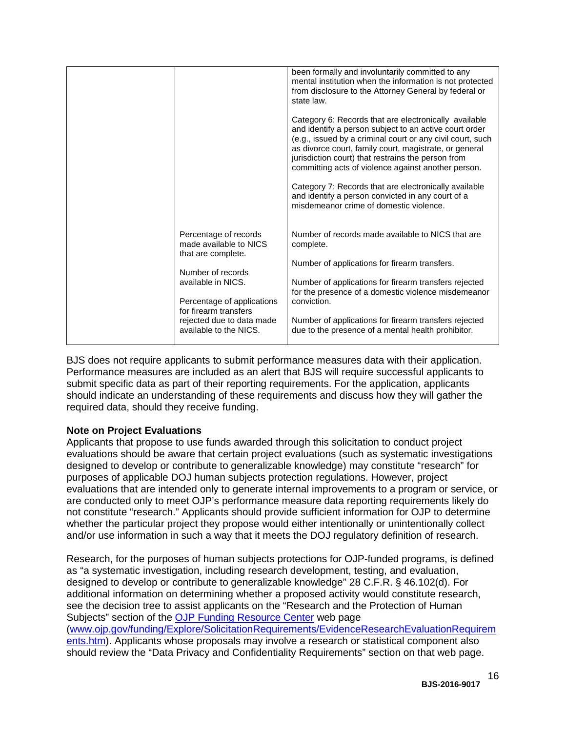|                                                                                                                                                                                                                                | Category 6: Records that are electronically available<br>and identify a person subject to an active court order<br>(e.g., issued by a criminal court or any civil court, such<br>as divorce court, family court, magistrate, or general<br>jurisdiction court) that restrains the person from                                                                 |
|--------------------------------------------------------------------------------------------------------------------------------------------------------------------------------------------------------------------------------|---------------------------------------------------------------------------------------------------------------------------------------------------------------------------------------------------------------------------------------------------------------------------------------------------------------------------------------------------------------|
|                                                                                                                                                                                                                                | committing acts of violence against another person.<br>Category 7: Records that are electronically available<br>and identify a person convicted in any court of a<br>misdemeanor crime of domestic violence.                                                                                                                                                  |
| Percentage of records<br>made available to NICS<br>that are complete.<br>Number of records<br>available in NICS.<br>Percentage of applications<br>for firearm transfers<br>rejected due to data made<br>available to the NICS. | Number of records made available to NICS that are<br>complete.<br>Number of applications for firearm transfers.<br>Number of applications for firearm transfers rejected<br>for the presence of a domestic violence misdemeanor<br>conviction.<br>Number of applications for firearm transfers rejected<br>due to the presence of a mental health prohibitor. |

BJS does not require applicants to submit performance measures data with their application. Performance measures are included as an alert that BJS will require successful applicants to submit specific data as part of their reporting requirements. For the application, applicants should indicate an understanding of these requirements and discuss how they will gather the required data, should they receive funding.

# **Note on Project Evaluations**

Applicants that propose to use funds awarded through this solicitation to conduct project evaluations should be aware that certain project evaluations (such as systematic investigations designed to develop or contribute to generalizable knowledge) may constitute "research" for purposes of applicable DOJ human subjects protection regulations. However, project evaluations that are intended only to generate internal improvements to a program or service, or are conducted only to meet OJP's performance measure data reporting requirements likely do not constitute "research." Applicants should provide sufficient information for OJP to determine whether the particular project they propose would either intentionally or unintentionally collect and/or use information in such a way that it meets the DOJ regulatory definition of research.

Research, for the purposes of human subjects protections for OJP-funded programs, is defined as "a systematic investigation, including research development, testing, and evaluation, designed to develop or contribute to generalizable knowledge" 28 C.F.R. § 46.102(d). For additional information on determining whether a proposed activity would constitute research, see the decision tree to assist applicants on the "Research and the Protection of Human Subjects" section of the OJP [Funding Resource Center](http://ojp.gov/funding/index.htm) web page [\(www.ojp.gov/funding/Explore/SolicitationRequirements/EvidenceResearchEvaluationRequirem](http://www.ojp.gov/funding/Explore/SolicitationRequirements/EvidenceResearchEvaluationRequirements.htm) [ents.htm\)](http://www.ojp.gov/funding/Explore/SolicitationRequirements/EvidenceResearchEvaluationRequirements.htm). Applicants whose proposals may involve a research or statistical component also should review the "Data Privacy and Confidentiality Requirements" section on that web page.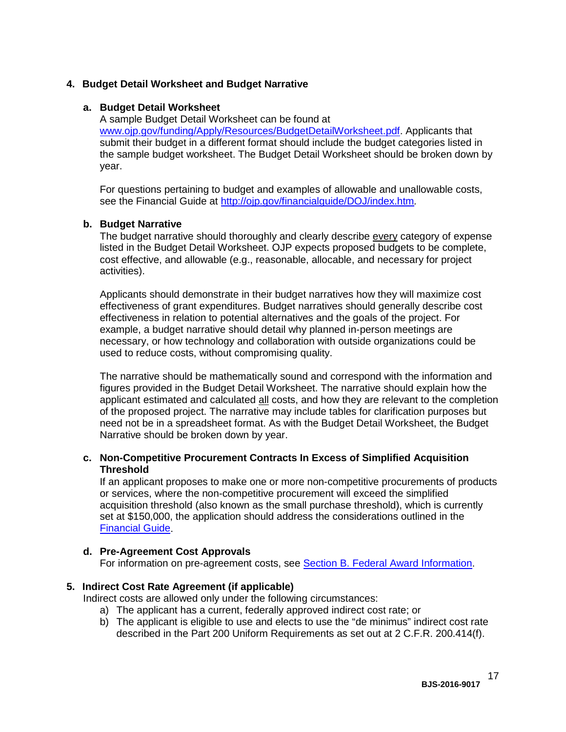# **4. Budget Detail Worksheet and Budget Narrative**

#### **a. Budget Detail Worksheet**

A sample Budget Detail Worksheet can be found at [www.ojp.gov/funding/Apply/Resources/BudgetDetailWorksheet.pdf.](http://ojp.gov/funding/Apply/Resources/BudgetDetailWorksheet.pdf) Applicants that submit their budget in a different format should include the budget categories listed in the sample budget worksheet. The Budget Detail Worksheet should be broken down by year.

For questions pertaining to budget and examples of allowable and unallowable costs, see the Financial Guide at<http://ojp.gov/financialguide/DOJ/index.htm>*.*

## **b. Budget Narrative**

The budget narrative should thoroughly and clearly describe every category of expense listed in the Budget Detail Worksheet. OJP expects proposed budgets to be complete, cost effective, and allowable (e.g., reasonable, allocable, and necessary for project activities).

Applicants should demonstrate in their budget narratives how they will maximize cost effectiveness of grant expenditures. Budget narratives should generally describe cost effectiveness in relation to potential alternatives and the goals of the project. For example, a budget narrative should detail why planned in-person meetings are necessary, or how technology and collaboration with outside organizations could be used to reduce costs, without compromising quality.

The narrative should be mathematically sound and correspond with the information and figures provided in the Budget Detail Worksheet. The narrative should explain how the applicant estimated and calculated all costs, and how they are relevant to the completion of the proposed project. The narrative may include tables for clarification purposes but need not be in a spreadsheet format. As with the Budget Detail Worksheet, the Budget Narrative should be broken down by year.

## **c. Non-Competitive Procurement Contracts In Excess of Simplified Acquisition Threshold**

If an applicant proposes to make one or more non-competitive procurements of products or services, where the non-competitive procurement will exceed the simplified acquisition threshold (also known as the small purchase threshold), which is currently set at \$150,000, the application should address the considerations outlined in the [Financial Guide.](http://ojp.gov/financialguide/DOJ/index.htm)

## **d. Pre-Agreement Cost Approvals**

For information on pre-agreement costs, see [Section B. Federal Award Information.](#page-7-0)

## **5. Indirect Cost Rate Agreement (if applicable)**

Indirect costs are allowed only under the following circumstances:

- a) The applicant has a current, federally approved indirect cost rate; or
- b) The applicant is eligible to use and elects to use the "de minimus" indirect cost rate described in the Part 200 Uniform Requirements as set out at 2 C.F.R. 200.414(f).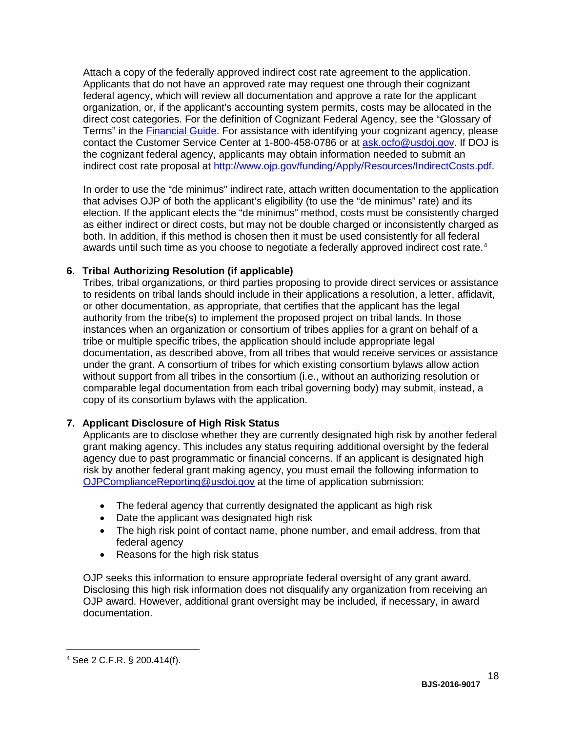Attach a copy of the federally approved indirect cost rate agreement to the application. Applicants that do not have an approved rate may request one through their cognizant federal agency, which will review all documentation and approve a rate for the applicant organization, or, if the applicant's accounting system permits, costs may be allocated in the direct cost categories. For the definition of Cognizant Federal Agency, see the "Glossary of Terms" in the [Financial Guide.](http://ojp.gov/financialguide/DOJ/index.htm) For assistance with identifying your cognizant agency, please contact the Customer Service Center at 1-800-458-0786 or at [ask.ocfo@usdoj.gov.](mailto:ask.ocfo@usdoj.gov) If DOJ is the cognizant federal agency, applicants may obtain information needed to submit an indirect cost rate proposal at [http://www.ojp.gov/funding/Apply/Resources/IndirectCosts.pdf.](http://www.ojp.gov/funding/Apply/Resources/IndirectCosts.pdf)

In order to use the "de minimus" indirect rate, attach written documentation to the application that advises OJP of both the applicant's eligibility (to use the "de minimus" rate) and its election. If the applicant elects the "de minimus" method, costs must be consistently charged as either indirect or direct costs, but may not be double charged or inconsistently charged as both. In addition, if this method is chosen then it must be used consistently for all federal awards until such time as you choose to negotiate a federally approved indirect cost rate. [4](#page-17-0)

# **6. Tribal Authorizing Resolution (if applicable)**

Tribes, tribal organizations, or third parties proposing to provide direct services or assistance to residents on tribal lands should include in their applications a resolution, a letter, affidavit, or other documentation, as appropriate, that certifies that the applicant has the legal authority from the tribe(s) to implement the proposed project on tribal lands. In those instances when an organization or consortium of tribes applies for a grant on behalf of a tribe or multiple specific tribes, the application should include appropriate legal documentation, as described above, from all tribes that would receive services or assistance under the grant. A consortium of tribes for which existing consortium bylaws allow action without support from all tribes in the consortium (i.e., without an authorizing resolution or comparable legal documentation from each tribal governing body) may submit, instead, a copy of its consortium bylaws with the application.

## **7. Applicant Disclosure of High Risk Status**

Applicants are to disclose whether they are currently designated high risk by another federal grant making agency. This includes any status requiring additional oversight by the federal agency due to past programmatic or financial concerns. If an applicant is designated high risk by another federal grant making agency, you must email the following information to [OJPComplianceReporting@usdoj.gov](mailto:OJPComplianceReporting@usdoj.gov) at the time of application submission:

- The federal agency that currently designated the applicant as high risk
- Date the applicant was designated high risk
- The high risk point of contact name, phone number, and email address, from that federal agency
- Reasons for the high risk status

OJP seeks this information to ensure appropriate federal oversight of any grant award. Disclosing this high risk information does not disqualify any organization from receiving an OJP award. However, additional grant oversight may be included, if necessary, in award documentation.

 $\overline{a}$ 

<span id="page-17-0"></span><sup>4</sup> See 2 C.F.R. § 200.414(f).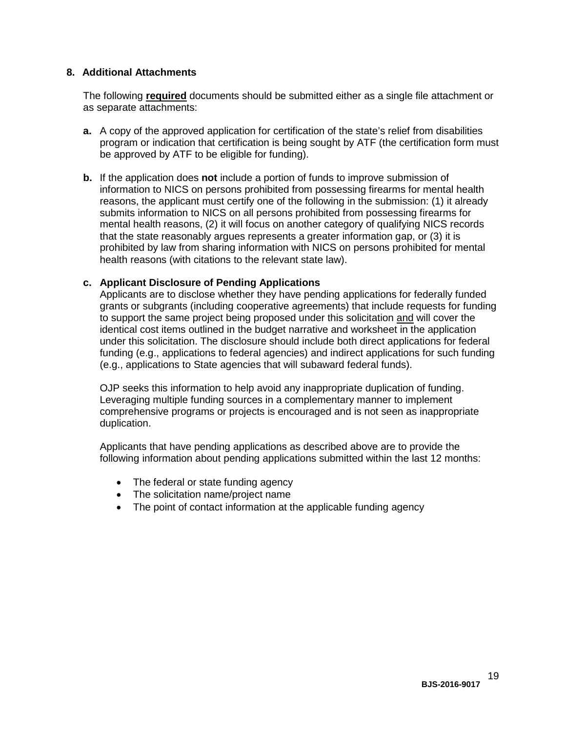## **8. Additional Attachments**

The following **required** documents should be submitted either as a single file attachment or as separate attachments:

- **a.** A copy of the approved application for certification of the state's relief from disabilities program or indication that certification is being sought by ATF (the certification form must be approved by ATF to be eligible for funding).
- **b.** If the application does **not** include a portion of funds to improve submission of information to NICS on persons prohibited from possessing firearms for mental health reasons, the applicant must certify one of the following in the submission: (1) it already submits information to NICS on all persons prohibited from possessing firearms for mental health reasons, (2) it will focus on another category of qualifying NICS records that the state reasonably argues represents a greater information gap, or (3) it is prohibited by law from sharing information with NICS on persons prohibited for mental health reasons (with citations to the relevant state law).

# **c. Applicant Disclosure of Pending Applications**

Applicants are to disclose whether they have pending applications for federally funded grants or subgrants (including cooperative agreements) that include requests for funding to support the same project being proposed under this solicitation and will cover the identical cost items outlined in the budget narrative and worksheet in the application under this solicitation. The disclosure should include both direct applications for federal funding (e.g., applications to federal agencies) and indirect applications for such funding (e.g., applications to State agencies that will subaward federal funds).

OJP seeks this information to help avoid any inappropriate duplication of funding. Leveraging multiple funding sources in a complementary manner to implement comprehensive programs or projects is encouraged and is not seen as inappropriate duplication.

Applicants that have pending applications as described above are to provide the following information about pending applications submitted within the last 12 months:

- The federal or state funding agency
- The solicitation name/project name
- The point of contact information at the applicable funding agency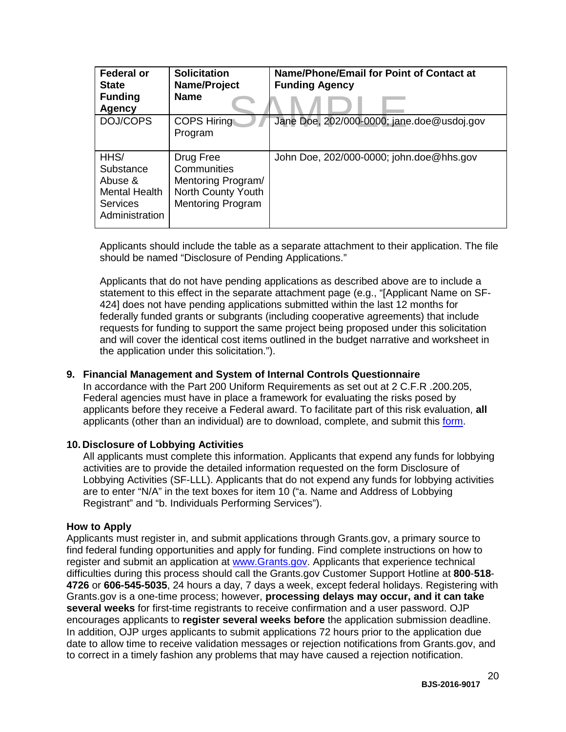| <b>Federal or</b><br><b>State</b><br><b>Funding</b><br><b>Agency</b>                      | <b>Solicitation</b><br>Name/Project<br><b>Name</b>                                               | <b>Name/Phone/Email for Point of Contact at</b><br><b>Funding Agency</b> |
|-------------------------------------------------------------------------------------------|--------------------------------------------------------------------------------------------------|--------------------------------------------------------------------------|
| DOJ/COPS                                                                                  | <b>COPS Hiring</b><br>Program                                                                    | Jane Doe, 202/000-0000; jane.doe@usdoj.gov                               |
| HHS/<br>Substance<br>Abuse &<br><b>Mental Health</b><br><b>Services</b><br>Administration | Drug Free<br>Communities<br>Mentoring Program/<br>North County Youth<br><b>Mentoring Program</b> | John Doe, 202/000-0000; john.doe@hhs.gov                                 |

Applicants should include the table as a separate attachment to their application. The file should be named "Disclosure of Pending Applications."

Applicants that do not have pending applications as described above are to include a statement to this effect in the separate attachment page (e.g., "[Applicant Name on SF-424] does not have pending applications submitted within the last 12 months for federally funded grants or subgrants (including cooperative agreements) that include requests for funding to support the same project being proposed under this solicitation and will cover the identical cost items outlined in the budget narrative and worksheet in the application under this solicitation.").

## **9. Financial Management and System of Internal Controls Questionnaire**

In accordance with the Part 200 Uniform Requirements as set out at 2 C.F.R .200.205, Federal agencies must have in place a framework for evaluating the risks posed by applicants before they receive a Federal award. To facilitate part of this risk evaluation, **all** applicants (other than an individual) are to download, complete, and submit this [form.](http://ojp.gov/funding/Apply/Resources/FinancialCapability.pdf)

#### **10. Disclosure of Lobbying Activities**

All applicants must complete this information. Applicants that expend any funds for lobbying activities are to provide the detailed information requested on the form Disclosure of Lobbying Activities (SF-LLL). Applicants that do not expend any funds for lobbying activities are to enter "N/A" in the text boxes for item 10 ("a. Name and Address of Lobbying Registrant" and "b. Individuals Performing Services").

#### <span id="page-19-0"></span>**How to Apply**

Applicants must register in, and submit applications through Grants.gov, a primary source to find federal funding opportunities and apply for funding. Find complete instructions on how to register and submit an application at [www.Grants.gov.](http://www.grants.gov/) Applicants that experience technical difficulties during this process should call the Grants.gov Customer Support Hotline at **800**-**518**- **4726** or **606-545-5035**, 24 hours a day, 7 days a week, except federal holidays. Registering with Grants.gov is a one-time process; however, **processing delays may occur, and it can take several weeks** for first-time registrants to receive confirmation and a user password. OJP encourages applicants to **register several weeks before** the application submission deadline. In addition, OJP urges applicants to submit applications 72 hours prior to the application due date to allow time to receive validation messages or rejection notifications from Grants.gov, and to correct in a timely fashion any problems that may have caused a rejection notification.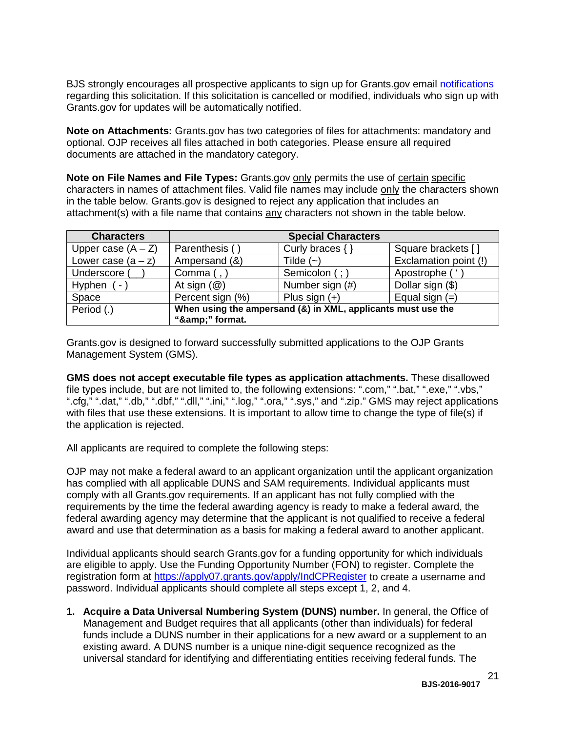BJS strongly encourages all prospective applicants to sign up for Grants.gov email [notifications](http://www.grants.gov/web/grants/manage-subscriptions.html) regarding this solicitation. If this solicitation is cancelled or modified, individuals who sign up with Grants.gov for updates will be automatically notified.

**Note on Attachments:** Grants.gov has two categories of files for attachments: mandatory and optional. OJP receives all files attached in both categories. Please ensure all required documents are attached in the mandatory category.

**Note on File Names and File Types:** Grants.gov only permits the use of certain specific characters in names of attachment files. Valid file names may include only the characters shown in the table below. Grants.gov is designed to reject any application that includes an attachment(s) with a file name that contains any characters not shown in the table below.

| <b>Characters</b>        | <b>Special Characters</b>                                    |                 |                       |
|--------------------------|--------------------------------------------------------------|-----------------|-----------------------|
| Upper case $(A - Z)$     | Parenthesis (                                                | Curly braces {  | Square brackets [     |
| Lower case $(a - z)$     | Ampersand (&)                                                | Tilde $(-)$     | Exclamation point (!) |
| Underscore (             | Comma $($ , $)$                                              | Semicolon (; )  | Apostrophe ('         |
| Hyphen<br>$\blacksquare$ | At sign $(\mathcal{Q})$                                      | Number sign (#) | Dollar sign (\$)      |
| Space                    | Percent sign (%)                                             | Plus sign $(+)$ | Equal sign $(=)$      |
| Period (.)               | When using the ampersand (&) in XML, applicants must use the |                 |                       |
|                          | "&" format.                                                  |                 |                       |

Grants.gov is designed to forward successfully submitted applications to the OJP Grants Management System (GMS).

**GMS does not accept executable file types as application attachments.** These disallowed file types include, but are not limited to, the following extensions: ".com," ".bat," ".exe," ".vbs," ".cfg," ".dat," ".db," ".dbf," ".dll," ".ini," ".log," ".ora," ".sys," and ".zip." GMS may reject applications with files that use these extensions. It is important to allow time to change the type of file(s) if the application is rejected.

All applicants are required to complete the following steps:

OJP may not make a federal award to an applicant organization until the applicant organization has complied with all applicable DUNS and SAM requirements. Individual applicants must comply with all Grants.gov requirements. If an applicant has not fully complied with the requirements by the time the federal awarding agency is ready to make a federal award, the federal awarding agency may determine that the applicant is not qualified to receive a federal award and use that determination as a basis for making a federal award to another applicant.

Individual applicants should search Grants.gov for a funding opportunity for which individuals are eligible to apply. Use the Funding Opportunity Number (FON) to register. Complete the registration form at<https://apply07.grants.gov/apply/IndCPRegister> to create a username and password. Individual applicants should complete all steps except 1, 2, and 4.

**1. Acquire a Data Universal Numbering System (DUNS) number.** In general, the Office of Management and Budget requires that all applicants (other than individuals) for federal funds include a DUNS number in their applications for a new award or a supplement to an existing award. A DUNS number is a unique nine-digit sequence recognized as the universal standard for identifying and differentiating entities receiving federal funds. The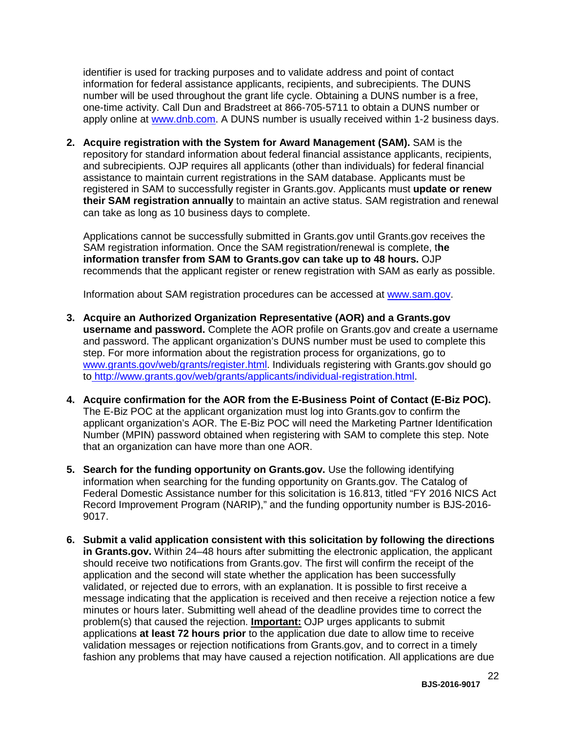identifier is used for tracking purposes and to validate address and point of contact information for federal assistance applicants, recipients, and subrecipients. The DUNS number will be used throughout the grant life cycle. Obtaining a DUNS number is a free, one-time activity. Call Dun and Bradstreet at 866-705-5711 to obtain a DUNS number or apply online at [www.dnb.com.](http://www.dnb.com/) A DUNS number is usually received within 1-2 business days.

**2. Acquire registration with the System for Award Management (SAM).** SAM is the repository for standard information about federal financial assistance applicants, recipients, and subrecipients. OJP requires all applicants (other than individuals) for federal financial assistance to maintain current registrations in the SAM database. Applicants must be registered in SAM to successfully register in Grants.gov. Applicants must **update or renew their SAM registration annually** to maintain an active status. SAM registration and renewal can take as long as 10 business days to complete.

Applications cannot be successfully submitted in Grants.gov until Grants.gov receives the SAM registration information. Once the SAM registration/renewal is complete, t**he information transfer from SAM to Grants.gov can take up to 48 hours.** OJP recommends that the applicant register or renew registration with SAM as early as possible.

Information about SAM registration procedures can be accessed at [www.sam.gov.](https://www.sam.gov/portal/public/SAM/?portal:componentId=1f834b82-3fed-4eb3-a1f8-ea1f226a7955&portal:type=action&interactionstate=JBPNS_rO0ABXc0ABBfanNmQnJpZGdlVmlld0lkAAAAAQATL2pzZi9uYXZpZ2F0aW9uLmpzcAAHX19FT0ZfXw**)

- **3. Acquire an Authorized Organization Representative (AOR) and a Grants.gov username and password.** Complete the AOR profile on Grants.gov and create a username and password. The applicant organization's DUNS number must be used to complete this step. For more information about the registration process for organizations, go to [www.grants.gov/web/grants/register.html.](http://www.grants.gov/web/grants/register.html) Individuals registering with Grants.gov should go to [http://www.grants.gov/web/grants/applicants/individual-registration.html.](http://www.grants.gov/web/grants/applicants/individual-registration.html)
- **4. Acquire confirmation for the AOR from the E-Business Point of Contact (E-Biz POC).**  The E-Biz POC at the applicant organization must log into Grants.gov to confirm the applicant organization's AOR. The E-Biz POC will need the Marketing Partner Identification Number (MPIN) password obtained when registering with SAM to complete this step. Note that an organization can have more than one AOR.
- **5. Search for the funding opportunity on Grants.gov.** Use the following identifying information when searching for the funding opportunity on Grants.gov. The Catalog of Federal Domestic Assistance number for this solicitation is 16.813, titled "FY 2016 NICS Act Record Improvement Program (NARIP)," and the funding opportunity number is BJS-2016- 9017.
- **6. Submit a valid application consistent with this solicitation by following the directions in Grants.gov.** Within 24–48 hours after submitting the electronic application, the applicant should receive two notifications from Grants.gov. The first will confirm the receipt of the application and the second will state whether the application has been successfully validated, or rejected due to errors, with an explanation. It is possible to first receive a message indicating that the application is received and then receive a rejection notice a few minutes or hours later. Submitting well ahead of the deadline provides time to correct the problem(s) that caused the rejection. **Important:** OJP urges applicants to submit applications **at least 72 hours prior** to the application due date to allow time to receive validation messages or rejection notifications from Grants.gov, and to correct in a timely fashion any problems that may have caused a rejection notification. All applications are due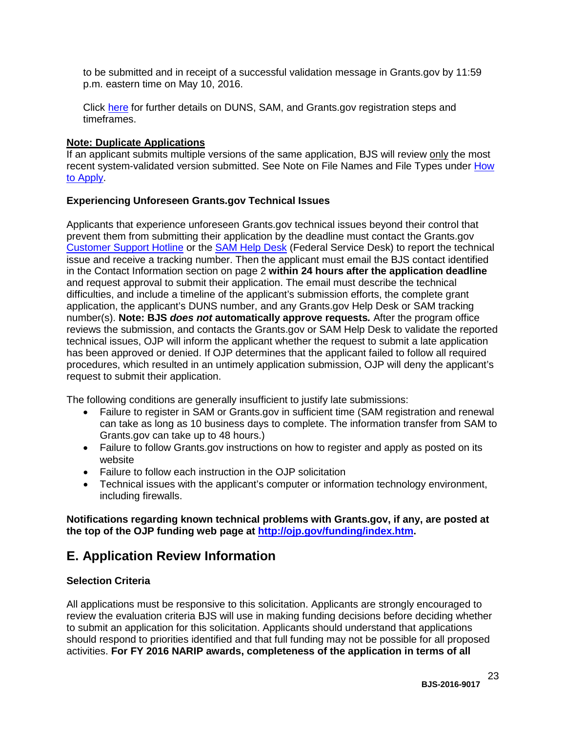to be submitted and in receipt of a successful validation message in Grants.gov by 11:59 p.m. eastern time on May 10, 2016.

Click [here](http://www.grants.gov/web/grants/applicants/organization-registration.html) for further details on DUNS, SAM, and Grants.gov registration steps and timeframes.

#### **Note: Duplicate Applications**

If an applicant submits multiple versions of the same application, BJS will review only the most recent system-validated version submitted. See Note on File Names and File Types under How [to Apply.](#page-19-0)

## **Experiencing Unforeseen Grants.gov Technical Issues**

Applicants that experience unforeseen Grants.gov technical issues beyond their control that prevent them from submitting their application by the deadline must contact the Grants.gov [Customer Support Hotline](http://www.grants.gov/web/grants/about/contact-us.html) or the [SAM Help Desk](https://www.fsd.gov/fsd-gov/home.do) (Federal Service Desk) to report the technical issue and receive a tracking number. Then the applicant must email the BJS contact identified in the Contact Information section on page 2 **within 24 hours after the application deadline** and request approval to submit their application. The email must describe the technical difficulties, and include a timeline of the applicant's submission efforts, the complete grant application, the applicant's DUNS number, and any Grants.gov Help Desk or SAM tracking number(s). **Note: BJS** *does not* **automatically approve requests***.* After the program office reviews the submission, and contacts the Grants.gov or SAM Help Desk to validate the reported technical issues, OJP will inform the applicant whether the request to submit a late application has been approved or denied. If OJP determines that the applicant failed to follow all required procedures, which resulted in an untimely application submission, OJP will deny the applicant's request to submit their application.

The following conditions are generally insufficient to justify late submissions:

- Failure to register in SAM or Grants.gov in sufficient time (SAM registration and renewal can take as long as 10 business days to complete. The information transfer from SAM to Grants.gov can take up to 48 hours.)
- Failure to follow Grants.gov instructions on how to register and apply as posted on its website
- Failure to follow each instruction in the OJP solicitation
- Technical issues with the applicant's computer or information technology environment, including firewalls.

**Notifications regarding known technical problems with Grants.gov, if any, are posted at the top of the OJP funding web page at [http://ojp.gov/funding/index.htm.](http://ojp.gov/funding/index.htm)** 

# <span id="page-22-0"></span>**E. Application Review Information**

## <span id="page-22-1"></span>**Selection Criteria**

All applications must be responsive to this solicitation. Applicants are strongly encouraged to review the evaluation criteria BJS will use in making funding decisions before deciding whether to submit an application for this solicitation. Applicants should understand that applications should respond to priorities identified and that full funding may not be possible for all proposed activities. **For FY 2016 NARIP awards, completeness of the application in terms of all**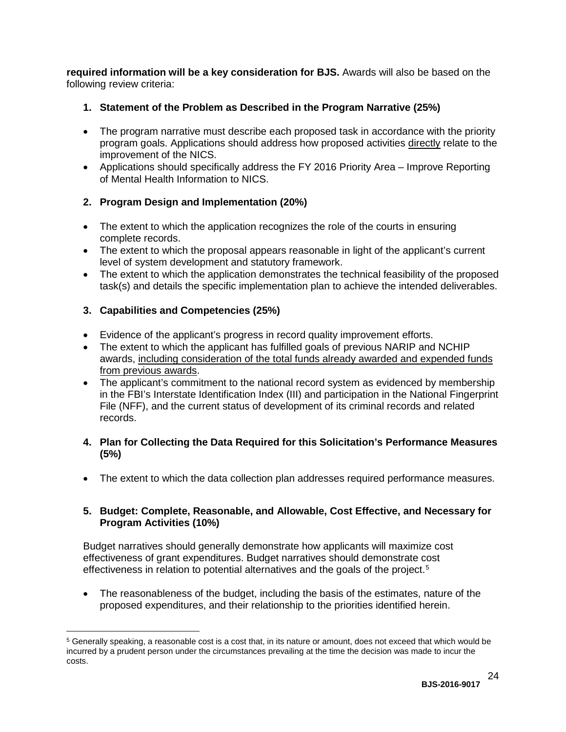**required information will be a key consideration for BJS.** Awards will also be based on the following review criteria:

- **1. Statement of the Problem as Described in the Program Narrative (25%)**
- The program narrative must describe each proposed task in accordance with the priority program goals. Applications should address how proposed activities directly relate to the improvement of the NICS.
- Applications should specifically address the FY 2016 Priority Area Improve Reporting of Mental Health Information to NICS.

# **2. Program Design and Implementation (20%)**

- The extent to which the application recognizes the role of the courts in ensuring complete records.
- The extent to which the proposal appears reasonable in light of the applicant's current level of system development and statutory framework.
- The extent to which the application demonstrates the technical feasibility of the proposed task(s) and details the specific implementation plan to achieve the intended deliverables.

# **3. Capabilities and Competencies (25%)**

 $\overline{a}$ 

- Evidence of the applicant's progress in record quality improvement efforts.
- The extent to which the applicant has fulfilled goals of previous NARIP and NCHIP awards, including consideration of the total funds already awarded and expended funds from previous awards.
- The applicant's commitment to the national record system as evidenced by membership in the FBI's Interstate Identification Index (III) and participation in the National Fingerprint File (NFF), and the current status of development of its criminal records and related records.

# **4. Plan for Collecting the Data Required for this Solicitation's Performance Measures (5%)**

• The extent to which the data collection plan addresses required performance measures.

# **5. Budget: Complete, Reasonable, and Allowable, Cost Effective, and Necessary for Program Activities (10%)**

Budget narratives should generally demonstrate how applicants will maximize cost effectiveness of grant expenditures. Budget narratives should demonstrate cost effectiveness in relation to potential alternatives and the goals of the project. [5](#page-23-0)

• The reasonableness of the budget, including the basis of the estimates, nature of the proposed expenditures, and their relationship to the priorities identified herein.

<span id="page-23-0"></span><sup>5</sup> Generally speaking, a reasonable cost is a cost that, in its nature or amount, does not exceed that which would be incurred by a prudent person under the circumstances prevailing at the time the decision was made to incur the costs.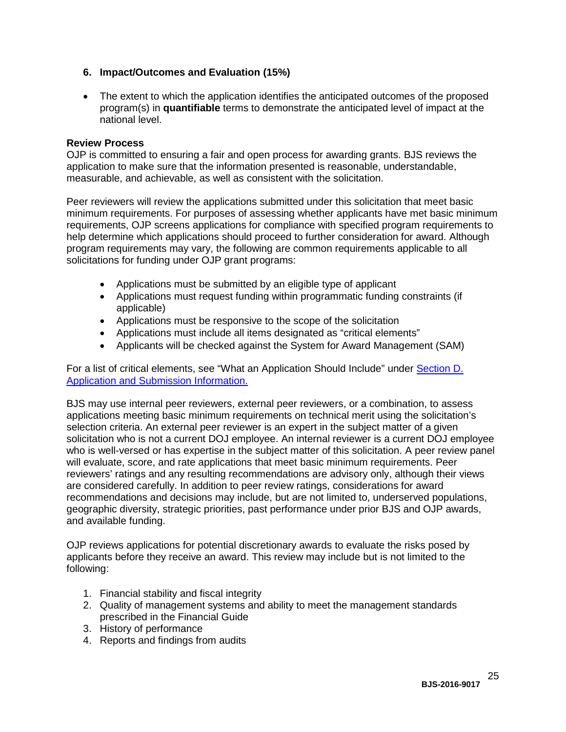# **6. Impact/Outcomes and Evaluation (15%)**

• The extent to which the application identifies the anticipated outcomes of the proposed program(s) in **quantifiable** terms to demonstrate the anticipated level of impact at the national level.

#### <span id="page-24-0"></span>**Review Process**

OJP is committed to ensuring a fair and open process for awarding grants. BJS reviews the application to make sure that the information presented is reasonable, understandable, measurable, and achievable, as well as consistent with the solicitation.

Peer reviewers will review the applications submitted under this solicitation that meet basic minimum requirements. For purposes of assessing whether applicants have met basic minimum requirements, OJP screens applications for compliance with specified program requirements to help determine which applications should proceed to further consideration for award. Although program requirements may vary, the following are common requirements applicable to all solicitations for funding under OJP grant programs:

- Applications must be submitted by an eligible type of applicant
- Applications must request funding within programmatic funding constraints (if applicable)
- Applications must be responsive to the scope of the solicitation
- Applications must include all items designated as "critical elements"
- Applicants will be checked against the System for Award Management (SAM)

For a list of critical elements, see "What an Application Should Include" under [Section D.](#page-10-3)  [Application and Submission Information.](#page-10-3)

BJS may use internal peer reviewers, external peer reviewers, or a combination, to assess applications meeting basic minimum requirements on technical merit using the solicitation's selection criteria. An external peer reviewer is an expert in the subject matter of a given solicitation who is not a current DOJ employee. An internal reviewer is a current DOJ employee who is well-versed or has expertise in the subject matter of this solicitation. A peer review panel will evaluate, score, and rate applications that meet basic minimum requirements. Peer reviewers' ratings and any resulting recommendations are advisory only, although their views are considered carefully. In addition to peer review ratings, considerations for award recommendations and decisions may include, but are not limited to, underserved populations, geographic diversity, strategic priorities, past performance under prior BJS and OJP awards, and available funding.

OJP reviews applications for potential discretionary awards to evaluate the risks posed by applicants before they receive an award. This review may include but is not limited to the following:

- 1. Financial stability and fiscal integrity
- 2. Quality of management systems and ability to meet the management standards prescribed in the Financial Guide
- 3. History of performance
- 4. Reports and findings from audits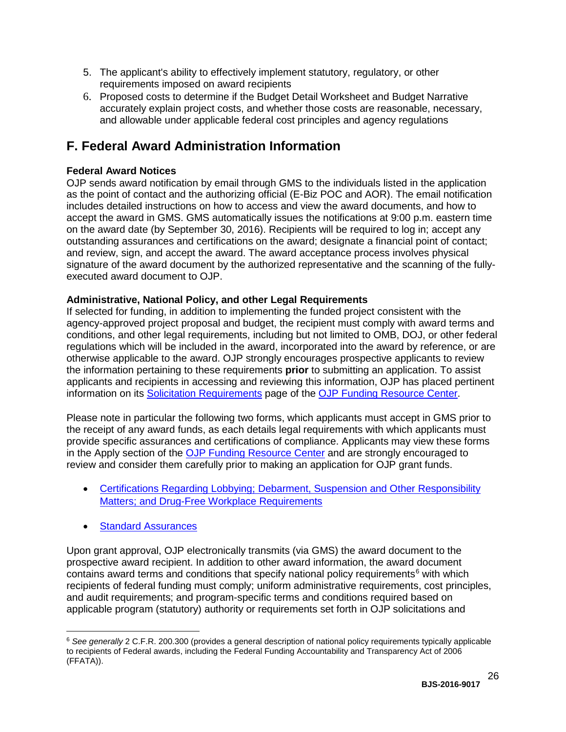- 5. The applicant's ability to effectively implement statutory, regulatory, or other requirements imposed on award recipients
- <span id="page-25-0"></span>6. Proposed costs to determine if the Budget Detail Worksheet and Budget Narrative accurately explain project costs, and whether those costs are reasonable, necessary, and allowable under applicable federal cost principles and agency regulations

# <span id="page-25-3"></span>**F. Federal Award Administration Information**

# <span id="page-25-1"></span>**Federal Award Notices**

OJP sends award notification by email through GMS to the individuals listed in the application as the point of contact and the authorizing official (E-Biz POC and AOR). The email notification includes detailed instructions on how to access and view the award documents, and how to accept the award in GMS. GMS automatically issues the notifications at 9:00 p.m. eastern time on the award date (by September 30, 2016). Recipients will be required to log in; accept any outstanding assurances and certifications on the award; designate a financial point of contact; and review, sign, and accept the award. The award acceptance process involves physical signature of the award document by the authorized representative and the scanning of the fullyexecuted award document to OJP.

# <span id="page-25-2"></span>**Administrative, National Policy, and other Legal Requirements**

If selected for funding, in addition to implementing the funded project consistent with the agency-approved project proposal and budget, the recipient must comply with award terms and conditions, and other legal requirements, including but not limited to OMB, DOJ, or other federal regulations which will be included in the award, incorporated into the award by reference, or are otherwise applicable to the award. OJP strongly encourages prospective applicants to review the information pertaining to these requirements **prior** to submitting an application. To assist applicants and recipients in accessing and reviewing this information, OJP has placed pertinent information on its [Solicitation Requirements](http://ojp.gov/funding/Explore/SolicitationRequirements/index.htm) page of the OJP [Funding Resource Center.](http://ojp.gov/funding/index.htm)

Please note in particular the following two forms, which applicants must accept in GMS prior to the receipt of any award funds, as each details legal requirements with which applicants must provide specific assurances and certifications of compliance. Applicants may view these forms in the Apply section of the [OJP Funding Resource Center](http://ojp.gov/funding/index.htm) and are strongly encouraged to review and consider them carefully prior to making an application for OJP grant funds.

- [Certifications Regarding Lobbying; Debarment, Suspension and Other Responsibility](http://ojp.gov/funding/Apply/Forms.htm)  [Matters; and Drug-Free Workplace Requirements](http://ojp.gov/funding/Apply/Forms.htm)
- [Standard Assurances](http://ojp.gov/funding/Apply/Forms.htm)

 $\overline{a}$ 

Upon grant approval, OJP electronically transmits (via GMS) the award document to the prospective award recipient. In addition to other award information, the award document contains award terms and conditions that specify national policy requirements<sup>[6](#page-25-4)</sup> with which recipients of federal funding must comply; uniform administrative requirements, cost principles, and audit requirements; and program-specific terms and conditions required based on applicable program (statutory) authority or requirements set forth in OJP solicitations and

<span id="page-25-4"></span><sup>6</sup> *See generally* 2 C.F.R. 200.300 (provides a general description of national policy requirements typically applicable to recipients of Federal awards, including the Federal Funding Accountability and Transparency Act of 2006 (FFATA)).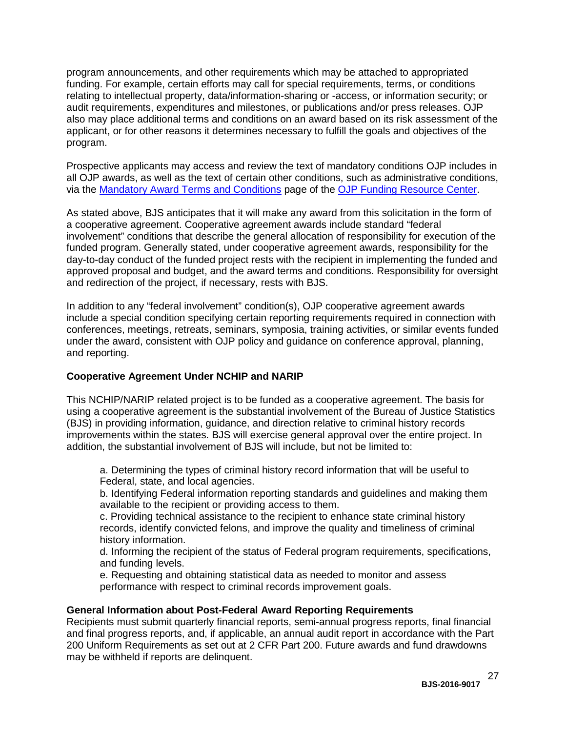program announcements, and other requirements which may be attached to appropriated funding. For example, certain efforts may call for special requirements, terms, or conditions relating to intellectual property, data/information-sharing or -access, or information security; or audit requirements, expenditures and milestones, or publications and/or press releases. OJP also may place additional terms and conditions on an award based on its risk assessment of the applicant, or for other reasons it determines necessary to fulfill the goals and objectives of the program.

Prospective applicants may access and review the text of mandatory conditions OJP includes in all OJP awards, as well as the text of certain other conditions, such as administrative conditions, via the [Mandatory Award Terms and Conditions](http://ojp.gov/funding/Explore/SolicitationRequirements/MandatoryTermsConditions.htm) page of the OJP [Funding Resource Center.](http://ojp.gov/funding/index.htm)

As stated above, BJS anticipates that it will make any award from this solicitation in the form of a cooperative agreement. Cooperative agreement awards include standard "federal involvement" conditions that describe the general allocation of responsibility for execution of the funded program. Generally stated, under cooperative agreement awards, responsibility for the day-to-day conduct of the funded project rests with the recipient in implementing the funded and approved proposal and budget, and the award terms and conditions. Responsibility for oversight and redirection of the project, if necessary, rests with BJS.

In addition to any "federal involvement" condition(s), OJP cooperative agreement awards include a special condition specifying certain reporting requirements required in connection with conferences, meetings, retreats, seminars, symposia, training activities, or similar events funded under the award, consistent with OJP policy and guidance on conference approval, planning, and reporting.

# **Cooperative Agreement Under NCHIP and NARIP**

This NCHIP/NARIP related project is to be funded as a cooperative agreement. The basis for using a cooperative agreement is the substantial involvement of the Bureau of Justice Statistics (BJS) in providing information, guidance, and direction relative to criminal history records improvements within the states. BJS will exercise general approval over the entire project. In addition, the substantial involvement of BJS will include, but not be limited to:

a. Determining the types of criminal history record information that will be useful to Federal, state, and local agencies.

b. Identifying Federal information reporting standards and guidelines and making them available to the recipient or providing access to them.

c. Providing technical assistance to the recipient to enhance state criminal history records, identify convicted felons, and improve the quality and timeliness of criminal history information.

d. Informing the recipient of the status of Federal program requirements, specifications, and funding levels.

e. Requesting and obtaining statistical data as needed to monitor and assess performance with respect to criminal records improvement goals.

## <span id="page-26-0"></span>**General Information about Post-Federal Award Reporting Requirements**

Recipients must submit quarterly financial reports, semi-annual progress reports, final financial and final progress reports, and, if applicable, an annual audit report in accordance with the Part 200 Uniform Requirements as set out at 2 CFR Part 200. Future awards and fund drawdowns may be withheld if reports are delinquent.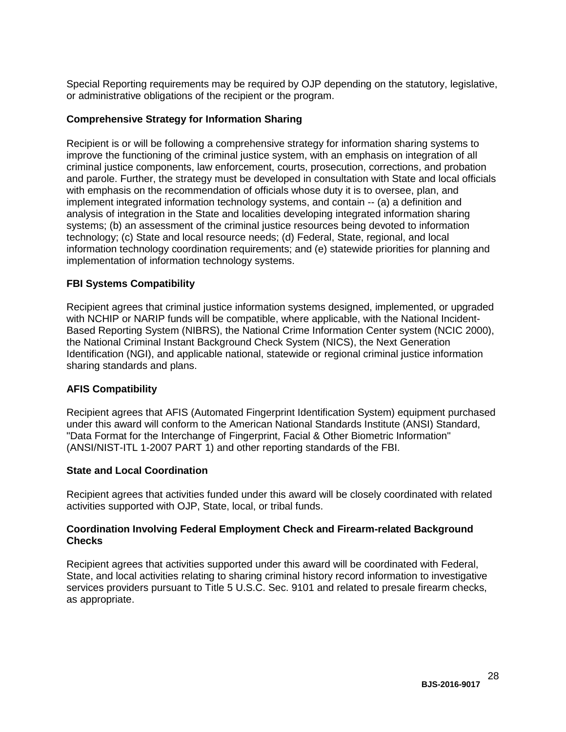Special Reporting requirements may be required by OJP depending on the statutory, legislative, or administrative obligations of the recipient or the program.

## **Comprehensive Strategy for Information Sharing**

Recipient is or will be following a comprehensive strategy for information sharing systems to improve the functioning of the criminal justice system, with an emphasis on integration of all criminal justice components, law enforcement, courts, prosecution, corrections, and probation and parole. Further, the strategy must be developed in consultation with State and local officials with emphasis on the recommendation of officials whose duty it is to oversee, plan, and implement integrated information technology systems, and contain -- (a) a definition and analysis of integration in the State and localities developing integrated information sharing systems; (b) an assessment of the criminal justice resources being devoted to information technology; (c) State and local resource needs; (d) Federal, State, regional, and local information technology coordination requirements; and (e) statewide priorities for planning and implementation of information technology systems.

# **FBI Systems Compatibility**

Recipient agrees that criminal justice information systems designed, implemented, or upgraded with NCHIP or NARIP funds will be compatible, where applicable, with the National Incident-Based Reporting System (NIBRS), the National Crime Information Center system (NCIC 2000), the National Criminal Instant Background Check System (NICS), the Next Generation Identification (NGI), and applicable national, statewide or regional criminal justice information sharing standards and plans.

# **AFIS Compatibility**

Recipient agrees that AFIS (Automated Fingerprint Identification System) equipment purchased under this award will conform to the American National Standards Institute (ANSI) Standard, "Data Format for the Interchange of Fingerprint, Facial & Other Biometric Information" (ANSI/NIST-ITL 1-2007 PART 1) and other reporting standards of the FBI.

## **State and Local Coordination**

Recipient agrees that activities funded under this award will be closely coordinated with related activities supported with OJP, State, local, or tribal funds.

#### **Coordination Involving Federal Employment Check and Firearm-related Background Checks**

Recipient agrees that activities supported under this award will be coordinated with Federal, State, and local activities relating to sharing criminal history record information to investigative services providers pursuant to Title 5 U.S.C. Sec. 9101 and related to presale firearm checks, as appropriate.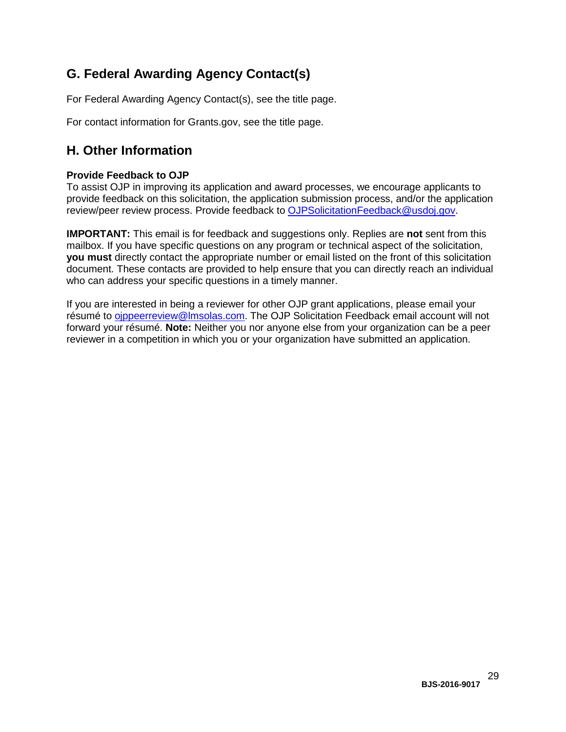# <span id="page-28-0"></span>**G. Federal Awarding Agency Contact(s)**

For Federal Awarding Agency Contact(s), see the title page.

<span id="page-28-1"></span>For contact information for Grants.gov, see the title page.

# **H. Other Information**

# <span id="page-28-2"></span>**Provide Feedback to OJP**

To assist OJP in improving its application and award processes, we encourage applicants to provide feedback on this solicitation, the application submission process, and/or the application review/peer review process. Provide feedback to [OJPSolicitationFeedback@usdoj.gov.](mailto:OJPSolicitationFeedback@usdoj.gov)

**IMPORTANT:** This email is for feedback and suggestions only. Replies are **not** sent from this mailbox. If you have specific questions on any program or technical aspect of the solicitation, **you must** directly contact the appropriate number or email listed on the front of this solicitation document. These contacts are provided to help ensure that you can directly reach an individual who can address your specific questions in a timely manner.

If you are interested in being a reviewer for other OJP grant applications, please email your résumé to [ojppeerreview@lmsolas.com.](mailto:ojppeerreview@lmsolas.com) The OJP Solicitation Feedback email account will not forward your résumé. **Note:** Neither you nor anyone else from your organization can be a peer reviewer in a competition in which you or your organization have submitted an application.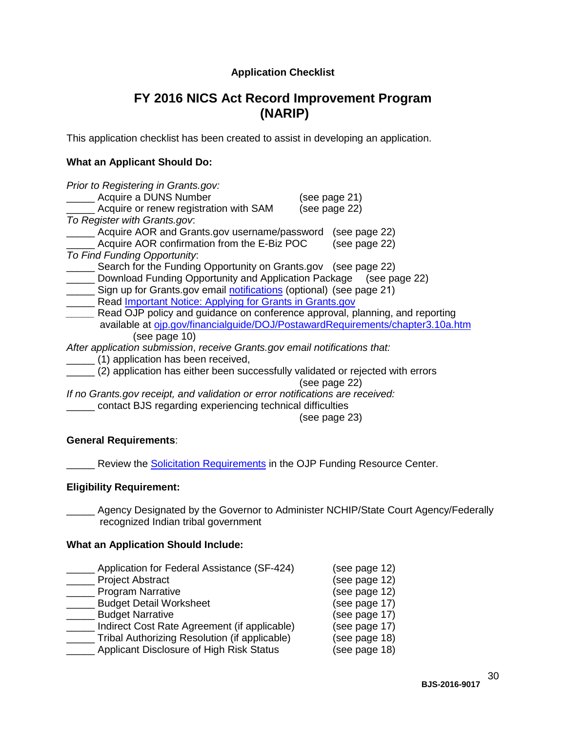# **Application Checklist**

# **FY 2016 NICS Act Record Improvement Program (NARIP)**

<span id="page-29-0"></span>This application checklist has been created to assist in developing an application.

# **What an Applicant Should Do:**

| Prior to Registering in Grants.gov:                                            |  |
|--------------------------------------------------------------------------------|--|
| <b>Acquire a DUNS Number</b><br>(see page 21)                                  |  |
| (see page 22)<br>Acquire or renew registration with SAM                        |  |
| To Register with Grants.gov.                                                   |  |
| Acquire AOR and Grants.gov username/password<br>(see page 22)                  |  |
| Acquire AOR confirmation from the E-Biz POC<br>(see page 22)                   |  |
| To Find Funding Opportunity:                                                   |  |
| Search for the Funding Opportunity on Grants.gov (see page 22)                 |  |
| Download Funding Opportunity and Application Package (see page 22)             |  |
| Sign up for Grants.gov email notifications (optional) (see page 21)            |  |
| Read <i>Important Notice: Applying for Grants in Grants.gov</i>                |  |
| Read OJP policy and guidance on conference approval, planning, and reporting   |  |
| available at ojp.gov/financialguide/DOJ/PostawardRequirements/chapter3.10a.htm |  |
| (see page 10)                                                                  |  |
| After application submission, receive Grants.gov email notifications that:     |  |
| (1) application has been received,                                             |  |
| (2) application has either been successfully validated or rejected with errors |  |
| (see page 22)                                                                  |  |
| If no Grants.gov receipt, and validation or error notifications are received:  |  |
| contact BJS regarding experiencing technical difficulties                      |  |

(see page 23)

## **General Requirements**:

**EXECT** Review the **Solicitation Requirements** in the OJP Funding Resource Center.

# **Eligibility Requirement:**

**EXECT** Agency Designated by the Governor to Administer NCHIP/State Court Agency/Federally recognized Indian tribal government

#### **What an Application Should Include:**

| Application for Federal Assistance (SF-424)   | (see page 12) |
|-----------------------------------------------|---------------|
| <b>Project Abstract</b>                       | (see page 12) |
| <b>Program Narrative</b>                      | (see page 12) |
| <b>Budget Detail Worksheet</b>                | (see page 17) |
| <b>Budget Narrative</b>                       | (see page 17) |
| Indirect Cost Rate Agreement (if applicable)  | (see page 17) |
| Tribal Authorizing Resolution (if applicable) | (see page 18) |
| Applicant Disclosure of High Risk Status      | (see page 18) |